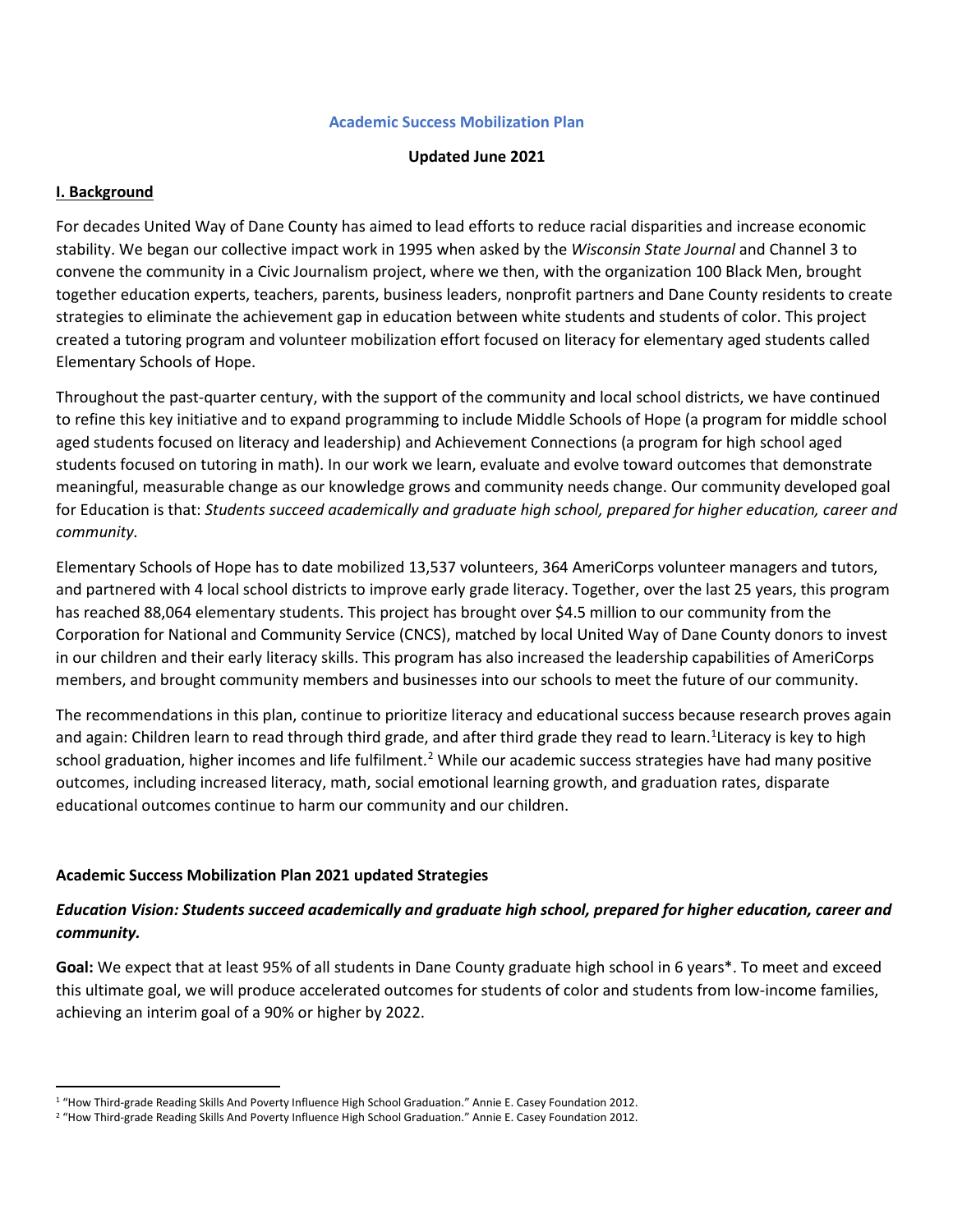#### **Academic Success Mobilization Plan**

#### **Updated June 2021**

#### **I. Background**

For decades United Way of Dane County has aimed to lead efforts to reduce racial disparities and increase economic stability. We began our collective impact work in 1995 when asked by the *Wisconsin State Journal* and Channel 3 to convene the community in a Civic Journalism project, where we then, with the organization 100 Black Men, brought together education experts, teachers, parents, business leaders, nonprofit partners and Dane County residents to create strategies to eliminate the achievement gap in education between white students and students of color. This project created a tutoring program and volunteer mobilization effort focused on literacy for elementary aged students called Elementary Schools of Hope.

Throughout the past-quarter century, with the support of the community and local school districts, we have continued to refine this key initiative and to expand programming to include Middle Schools of Hope (a program for middle school aged students focused on literacy and leadership) and Achievement Connections (a program for high school aged students focused on tutoring in math). In our work we learn, evaluate and evolve toward outcomes that demonstrate meaningful, measurable change as our knowledge grows and community needs change. Our community developed goal for Education is that: *Students succeed academically and graduate high school, prepared for higher education, career and community.*

Elementary Schools of Hope has to date mobilized 13,537 volunteers, 364 AmeriCorps volunteer managers and tutors, and partnered with 4 local school districts to improve early grade literacy. Together, over the last 25 years, this program has reached 88,064 elementary students. This project has brought over \$4.5 million to our community from the Corporation for National and Community Service (CNCS), matched by local United Way of Dane County donors to invest in our children and their early literacy skills. This program has also increased the leadership capabilities of AmeriCorps members, and brought community members and businesses into our schools to meet the future of our community.

The recommendations in this plan, continue to prioritize literacy and educational success because research proves again and again: Children learn to read through third grade, and after third grade they read to learn.<sup>[1](#page-0-0)</sup>Literacy is key to high school graduation, higher incomes and life fulfilment.<sup>[2](#page-0-1)</sup> While our academic success strategies have had many positive outcomes, including increased literacy, math, social emotional learning growth, and graduation rates, disparate educational outcomes continue to harm our community and our children.

### **Academic Success Mobilization Plan 2021 updated Strategies**

## *Education Vision: Students succeed academically and graduate high school, prepared for higher education, career and community.*

**Goal:** We expect that at least 95% of all students in Dane County graduate high school in 6 years\*. To meet and exceed this ultimate goal, we will produce accelerated outcomes for students of color and students from low-income families, achieving an interim goal of a 90% or higher by 2022.

<span id="page-0-0"></span><sup>1</sup> "How Third-grade Reading Skills And Poverty Influence High School Graduation." Annie E. Casey Foundation 2012.

<span id="page-0-1"></span><sup>&</sup>lt;sup>2</sup> "How Third-grade Reading Skills And Poverty Influence High School Graduation." Annie E. Casey Foundation 2012.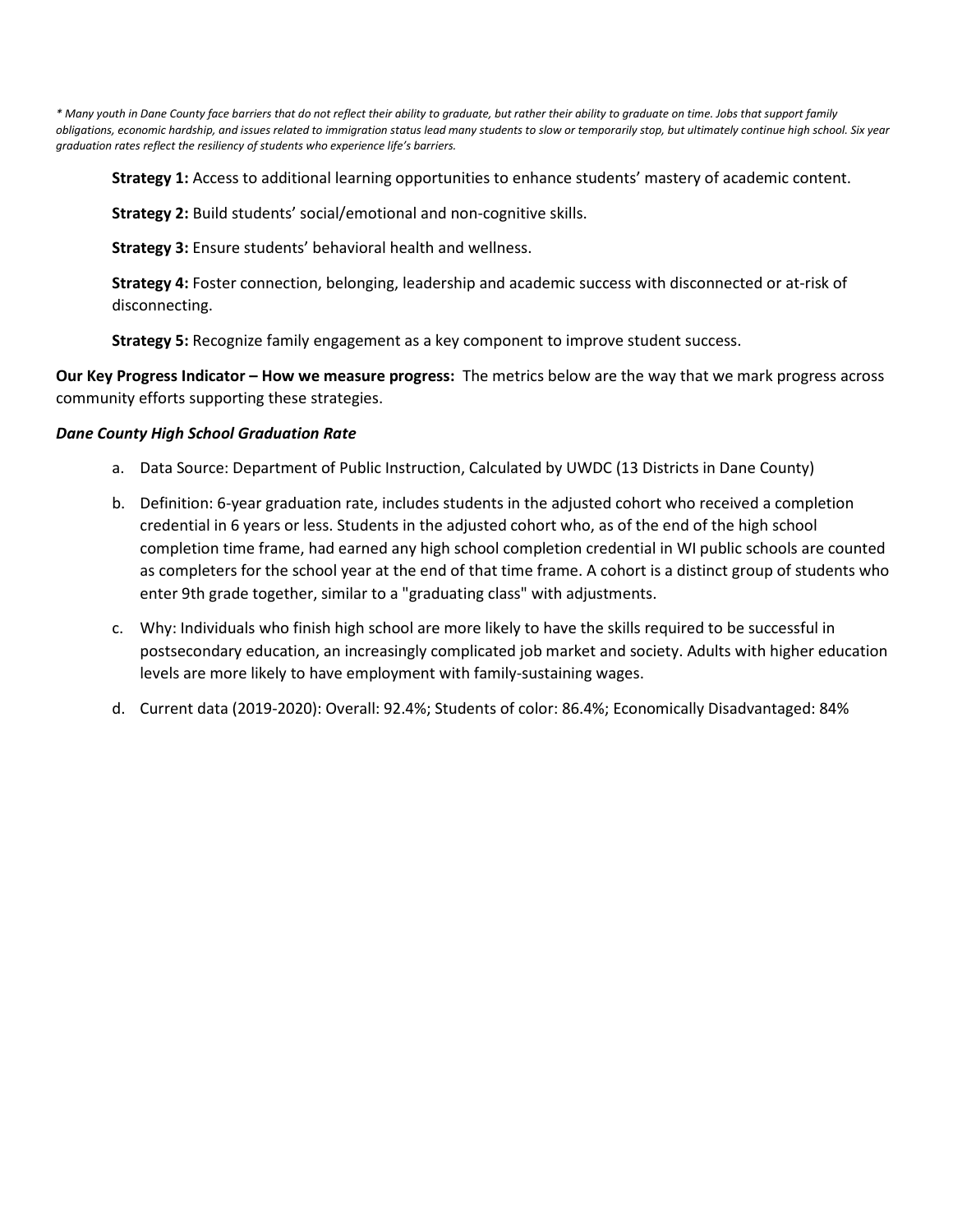*\* Many youth in Dane County face barriers that do not reflect their ability to graduate, but rather their ability to graduate on time. Jobs that support family obligations, economic hardship, and issues related to immigration status lead many students to slow or temporarily stop, but ultimately continue high school. Six year graduation rates reflect the resiliency of students who experience life's barriers.*

**Strategy 1:** Access to additional learning opportunities to enhance students' mastery of academic content.

**Strategy 2:** Build students' social/emotional and non-cognitive skills.

**Strategy 3:** Ensure students' behavioral health and wellness.

**Strategy 4:** Foster connection, belonging, leadership and academic success with disconnected or at-risk of disconnecting.

**Strategy 5:** Recognize family engagement as a key component to improve student success.

**Our Key Progress Indicator – How we measure progress:** The metrics below are the way that we mark progress across community efforts supporting these strategies.

#### *Dane County High School Graduation Rate*

- a. Data Source: Department of Public Instruction, Calculated by UWDC (13 Districts in Dane County)
- b. Definition: 6-year graduation rate, includes students in the adjusted cohort who received a completion credential in 6 years or less. Students in the adjusted cohort who, as of the end of the high school completion time frame, had earned any high school completion credential in WI public schools are counted as completers for the school year at the end of that time frame. A cohort is a distinct group of students who enter 9th grade together, similar to a "graduating class" with adjustments.
- c. Why: Individuals who finish high school are more likely to have the skills required to be successful in postsecondary education, an increasingly complicated job market and society. Adults with higher education levels are more likely to have employment with family-sustaining wages.
- d. Current data (2019-2020): Overall: 92.4%; Students of color: 86.4%; Economically Disadvantaged: 84%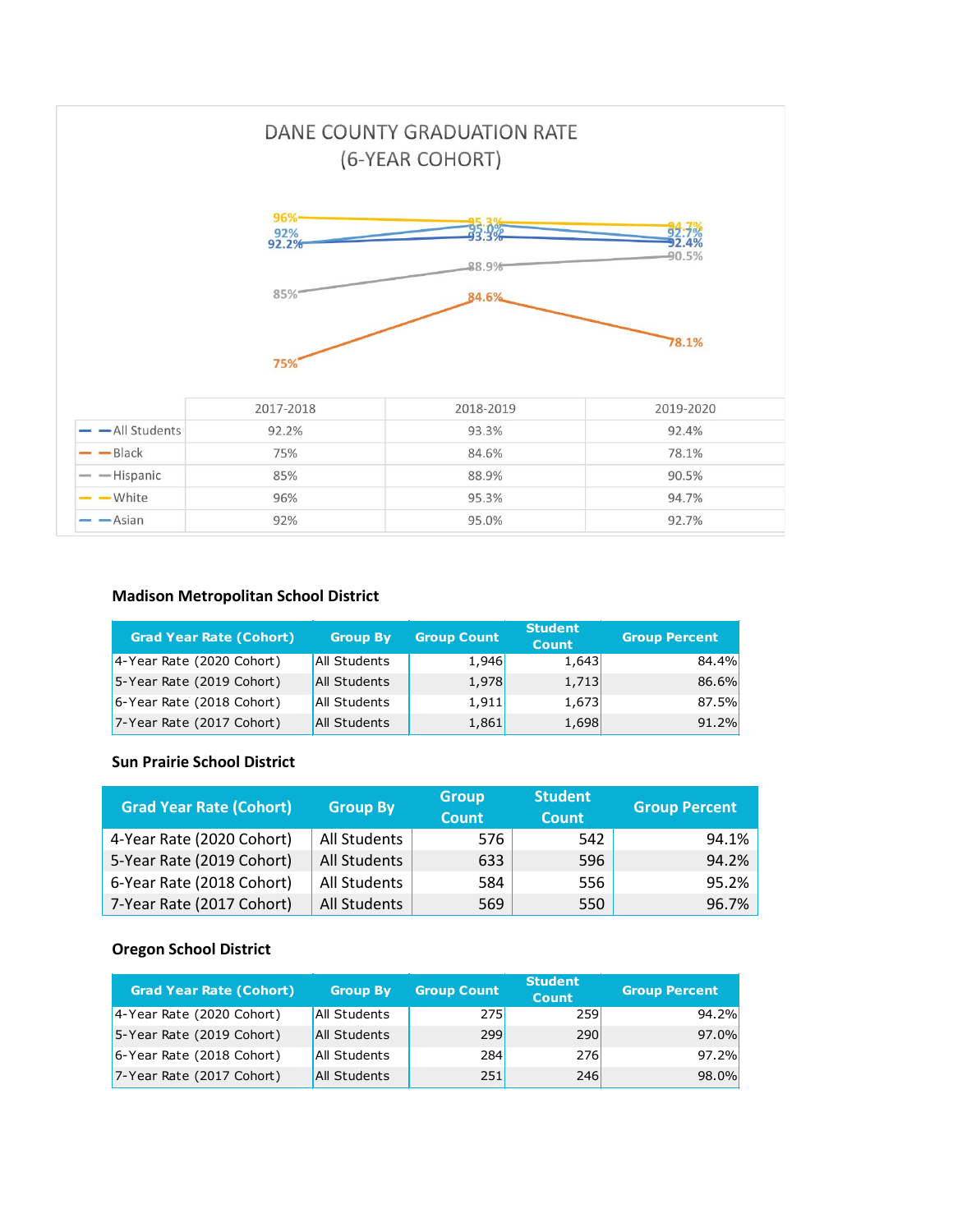

#### **Madison Metropolitan School District**

| <b>Grad Year Rate (Cohort)</b> | <b>Group By</b> | <b>Group Count</b> | <b>Student</b><br><b>Count</b> | <b>Group Percent</b> |
|--------------------------------|-----------------|--------------------|--------------------------------|----------------------|
| 4-Year Rate (2020 Cohort)      | All Students    | 1,946              | 1,643                          | 84.4%                |
| 5-Year Rate (2019 Cohort)      | All Students    | 1,978              | 1,713                          | 86.6%                |
| 6-Year Rate (2018 Cohort)      | All Students    | 1,911              | 1,673                          | 87.5%                |
| 7-Year Rate (2017 Cohort)      | All Students    | 1,861              | 1,698                          | 91.2%                |

## **Sun Prairie School District**

| <b>Grad Year Rate (Cohort)</b> | <b>Group By</b> | <b>Group</b><br><b>Count</b> | <b>Student</b><br><b>Count</b> | <b>Group Percent</b> |
|--------------------------------|-----------------|------------------------------|--------------------------------|----------------------|
| 4-Year Rate (2020 Cohort)      | All Students    | 576                          | 542                            | 94.1%                |
| 5-Year Rate (2019 Cohort)      | All Students    | 633                          | 596                            | 94.2%                |
| 6-Year Rate (2018 Cohort)      | All Students    | 584                          | 556                            | 95.2%                |
| 7-Year Rate (2017 Cohort)      | All Students    | 569                          | 550                            | 96.7%                |

#### **Oregon School District**

| <b>Grad Year Rate (Cohort)</b> | <b>Group By</b> | <b>Group Count</b> | <b>Student</b><br><b>Count</b> | <b>Group Percent</b> |
|--------------------------------|-----------------|--------------------|--------------------------------|----------------------|
| 4-Year Rate (2020 Cohort)      | All Students    | <b>275</b>         | 259                            | 94.2%                |
| 5-Year Rate (2019 Cohort)      | All Students    | 299                | <b>290</b>                     | 97.0%                |
| 6-Year Rate (2018 Cohort)      | All Students    | 284                | <b>276</b>                     | 97.2%                |
| 7-Year Rate (2017 Cohort)      | All Students    | 251                | 246                            | 98.0%                |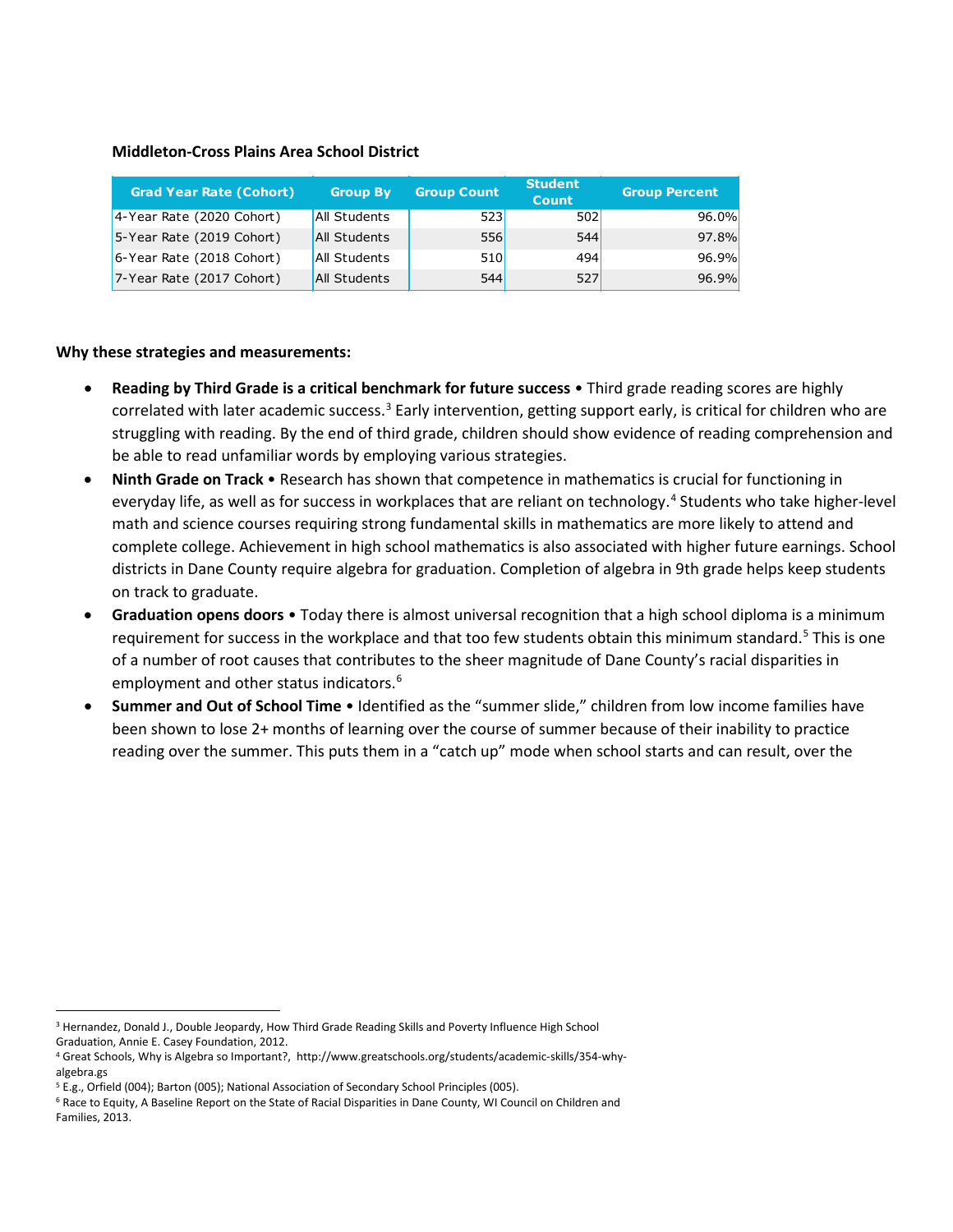#### **Middleton-Cross Plains Area School District**

| <b>Grad Year Rate (Cohort)</b> | <b>Group By</b> | <b>Group Count</b> | <b>Student</b><br><b>Count</b> | <b>Group Percent</b> |
|--------------------------------|-----------------|--------------------|--------------------------------|----------------------|
| 4-Year Rate (2020 Cohort)      | All Students    | 523                | 502                            | 96.0%                |
| 5-Year Rate (2019 Cohort)      | All Students    | 556                | 544                            | 97.8%                |
| 6-Year Rate (2018 Cohort)      | All Students    | 510                | 494                            | 96.9%                |
| 7-Year Rate (2017 Cohort)      | All Students    | 544                | 527                            | 96.9%                |

#### **Why these strategies and measurements:**

- **Reading by Third Grade is a critical benchmark for future success** Third grade reading scores are highly correlated with later academic success.<sup>[3](#page-3-0)</sup> Early intervention, getting support early, is critical for children who are struggling with reading. By the end of third grade, children should show evidence of reading comprehension and be able to read unfamiliar words by employing various strategies.
- **Ninth Grade on Track**  Research has shown that competence in mathematics is crucial for functioning in everyday life, as well as for success in workplaces that are reliant on technology.<sup>[4](#page-3-1)</sup> Students who take higher-level math and science courses requiring strong fundamental skills in mathematics are more likely to attend and complete college. Achievement in high school mathematics is also associated with higher future earnings. School districts in Dane County require algebra for graduation. Completion of algebra in 9th grade helps keep students on track to graduate.
- **Graduation opens doors** Today there is almost universal recognition that a high school diploma is a minimum requirement for success in the workplace and that too few students obtain this minimum standard.<sup>[5](#page-3-2)</sup> This is one of a number of root causes that contributes to the sheer magnitude of Dane County's racial disparities in employment and other status indicators.<sup>[6](#page-3-3)</sup>
- **Summer and Out of School Time**  Identified as the "summer slide," children from low income families have been shown to lose 2+ months of learning over the course of summer because of their inability to practice reading over the summer. This puts them in a "catch up" mode when school starts and can result, over the

<span id="page-3-0"></span><sup>&</sup>lt;sup>3</sup> Hernandez, Donald J., Double Jeopardy, How Third Grade Reading Skills and Poverty Influence High School Graduation, Annie E. Casey Foundation, 2012.

<span id="page-3-1"></span><sup>4</sup> Great Schools, Why is Algebra so Important?, http://www.greatschools.org/students/academic-skills/354-whyalgebra.gs

<span id="page-3-2"></span><sup>5</sup> E.g., Orfield (004); Barton (005); National Association of Secondary School Principles (005).

<span id="page-3-3"></span><sup>6</sup> Race to Equity, A Baseline Report on the State of Racial Disparities in Dane County, WI Council on Children and Families, 2013.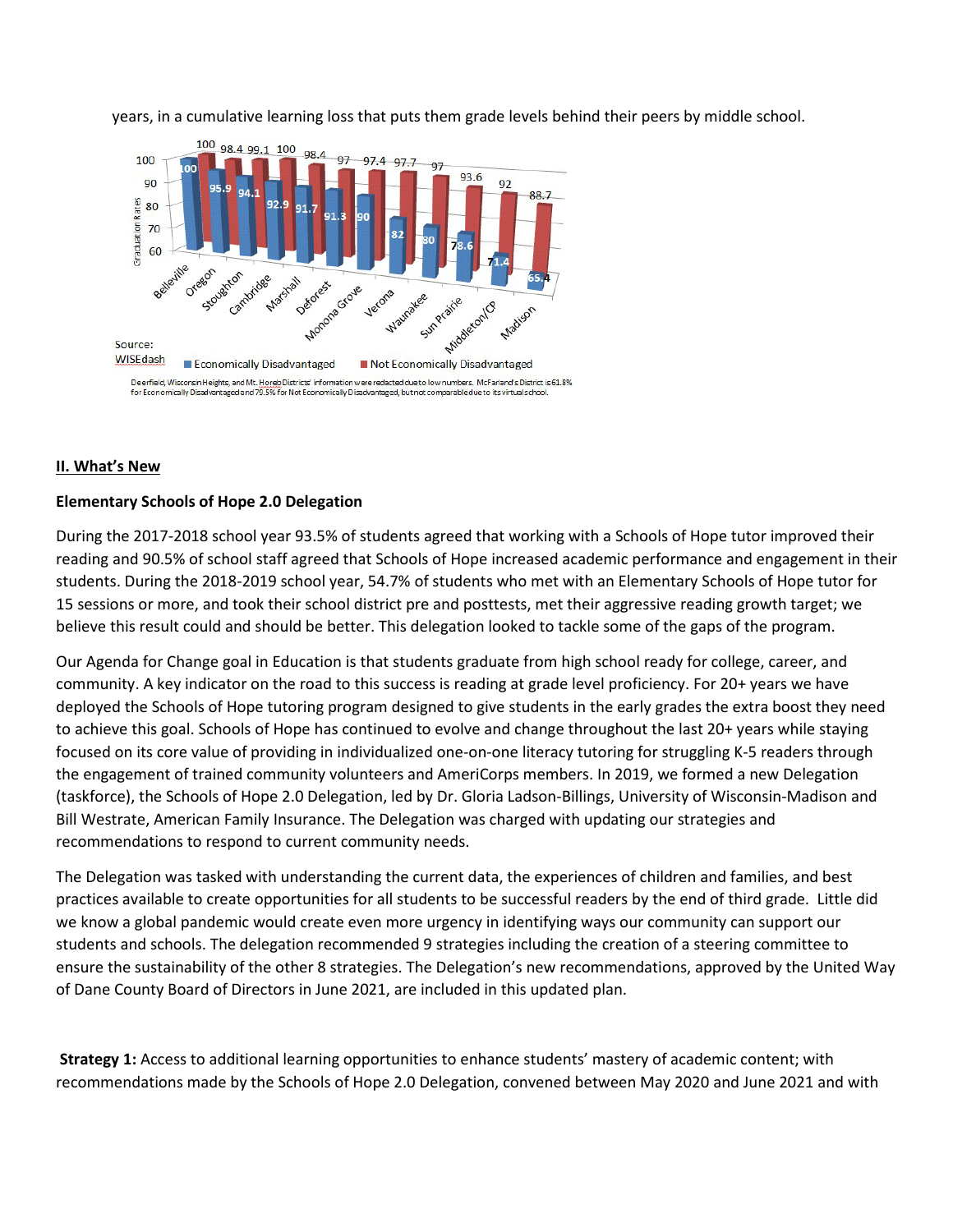years, in a cumulative learning loss that puts them grade levels behind their peers by middle school.



#### **II. What's New**

#### **Elementary Schools of Hope 2.0 Delegation**

During the 2017-2018 school year 93.5% of students agreed that working with a Schools of Hope tutor improved their reading and 90.5% of school staff agreed that Schools of Hope increased academic performance and engagement in their students. During the 2018-2019 school year, 54.7% of students who met with an Elementary Schools of Hope tutor for 15 sessions or more, and took their school district pre and posttests, met their aggressive reading growth target; we believe this result could and should be better. This delegation looked to tackle some of the gaps of the program.

Our Agenda for Change goal in Education is that students graduate from high school ready for college, career, and community. A key indicator on the road to this success is reading at grade level proficiency. For 20+ years we have deployed the Schools of Hope tutoring program designed to give students in the early grades the extra boost they need to achieve this goal. Schools of Hope has continued to evolve and change throughout the last 20+ years while staying focused on its core value of providing in individualized one-on-one literacy tutoring for struggling K-5 readers through the engagement of trained community volunteers and AmeriCorps members. In 2019, we formed a new Delegation (taskforce), the Schools of Hope 2.0 Delegation, led by Dr. Gloria Ladson-Billings, University of Wisconsin-Madison and Bill Westrate, American Family Insurance. The Delegation was charged with updating our strategies and recommendations to respond to current community needs.

The Delegation was tasked with understanding the current data, the experiences of children and families, and best practices available to create opportunities for all students to be successful readers by the end of third grade. Little did we know a global pandemic would create even more urgency in identifying ways our community can support our students and schools. The delegation recommended 9 strategies including the creation of a steering committee to ensure the sustainability of the other 8 strategies. The Delegation's new recommendations, approved by the United Way of Dane County Board of Directors in June 2021, are included in this updated plan.

**Strategy 1:** Access to additional learning opportunities to enhance students' mastery of academic content; with recommendations made by the Schools of Hope 2.0 Delegation, convened between May 2020 and June 2021 and with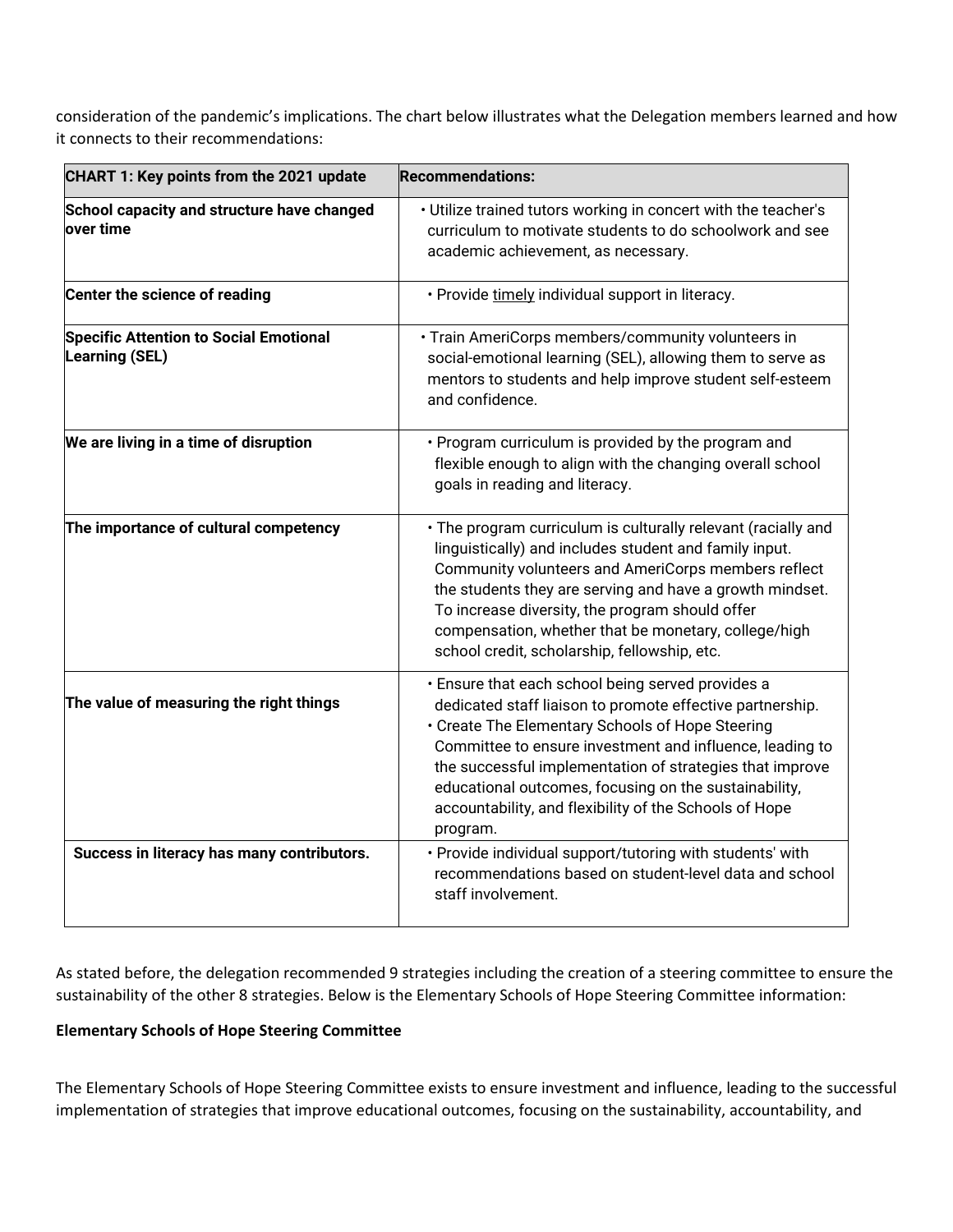consideration of the pandemic's implications. The chart below illustrates what the Delegation members learned and how it connects to their recommendations:

| CHART 1: Key points from the 2021 update                        | <b>Recommendations:</b>                                                                                                                                                                                                                                                                                                                                                                                                   |
|-----------------------------------------------------------------|---------------------------------------------------------------------------------------------------------------------------------------------------------------------------------------------------------------------------------------------------------------------------------------------------------------------------------------------------------------------------------------------------------------------------|
| School capacity and structure have changed<br>over time         | • Utilize trained tutors working in concert with the teacher's<br>curriculum to motivate students to do schoolwork and see<br>academic achievement, as necessary.                                                                                                                                                                                                                                                         |
| Center the science of reading                                   | · Provide timely individual support in literacy.                                                                                                                                                                                                                                                                                                                                                                          |
| <b>Specific Attention to Social Emotional</b><br>Learning (SEL) | · Train AmeriCorps members/community volunteers in<br>social-emotional learning (SEL), allowing them to serve as<br>mentors to students and help improve student self-esteem<br>and confidence.                                                                                                                                                                                                                           |
| We are living in a time of disruption                           | • Program curriculum is provided by the program and<br>flexible enough to align with the changing overall school<br>goals in reading and literacy.                                                                                                                                                                                                                                                                        |
| The importance of cultural competency                           | • The program curriculum is culturally relevant (racially and<br>linguistically) and includes student and family input.<br>Community volunteers and AmeriCorps members reflect<br>the students they are serving and have a growth mindset.<br>To increase diversity, the program should offer<br>compensation, whether that be monetary, college/high<br>school credit, scholarship, fellowship, etc.                     |
| The value of measuring the right things                         | · Ensure that each school being served provides a<br>dedicated staff liaison to promote effective partnership.<br>• Create The Elementary Schools of Hope Steering<br>Committee to ensure investment and influence, leading to<br>the successful implementation of strategies that improve<br>educational outcomes, focusing on the sustainability,<br>accountability, and flexibility of the Schools of Hope<br>program. |
| Success in literacy has many contributors.                      | . Provide individual support/tutoring with students' with<br>recommendations based on student-level data and school<br>staff involvement.                                                                                                                                                                                                                                                                                 |

As stated before, the delegation recommended 9 strategies including the creation of a steering committee to ensure the sustainability of the other 8 strategies. Below is the Elementary Schools of Hope Steering Committee information:

## **Elementary Schools of Hope Steering Committee**

The Elementary Schools of Hope Steering Committee exists to ensure investment and influence, leading to the successful implementation of strategies that improve educational outcomes, focusing on the sustainability, accountability, and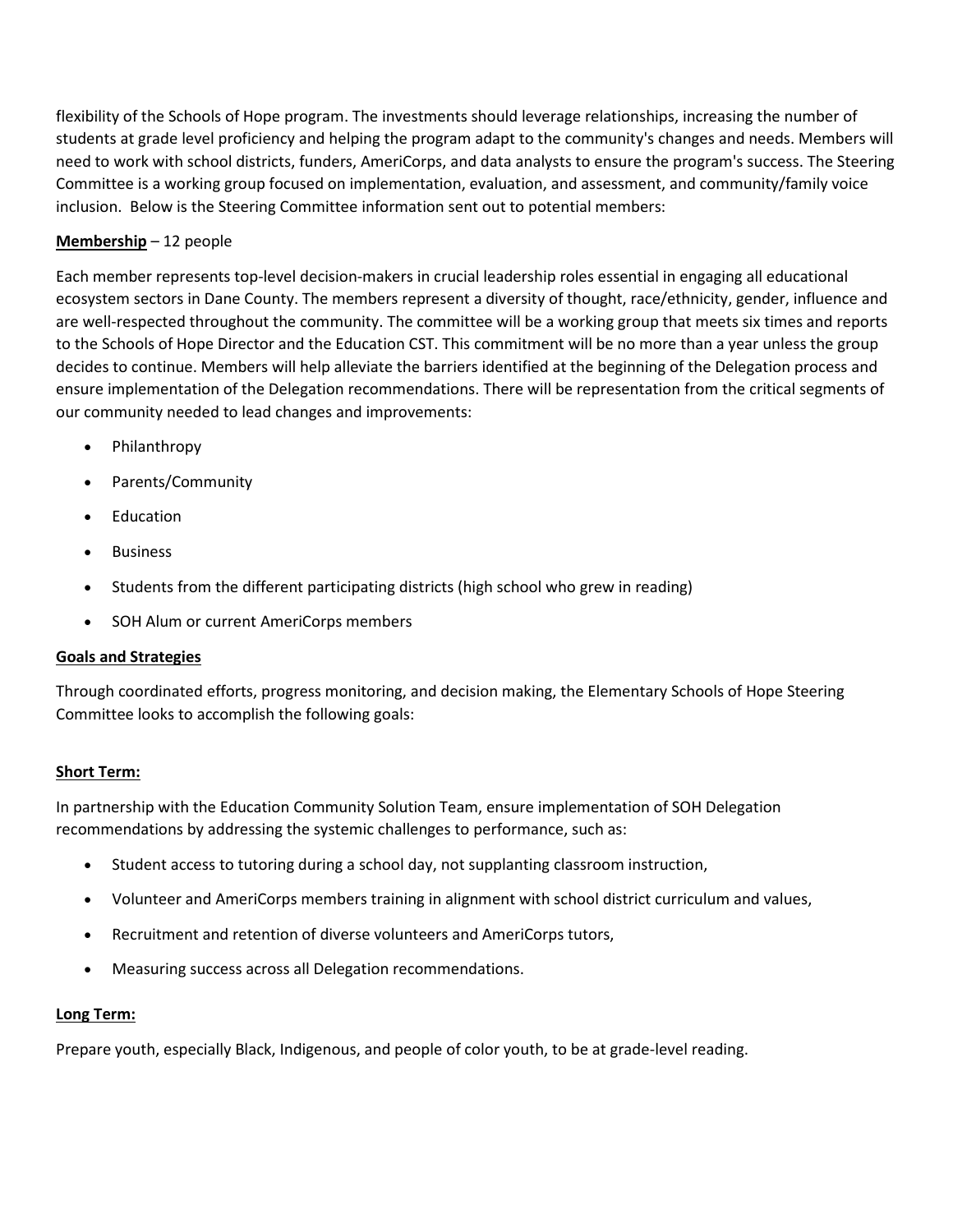flexibility of the Schools of Hope program. The investments should leverage relationships, increasing the number of students at grade level proficiency and helping the program adapt to the community's changes and needs. Members will need to work with school districts, funders, AmeriCorps, and data analysts to ensure the program's success. The Steering Committee is a working group focused on implementation, evaluation, and assessment, and community/family voice inclusion. Below is the Steering Committee information sent out to potential members:

## **Membership** – 12 people

Each member represents top-level decision-makers in crucial leadership roles essential in engaging all educational ecosystem sectors in Dane County. The members represent a diversity of thought, race/ethnicity, gender, influence and are well-respected throughout the community. The committee will be a working group that meets six times and reports to the Schools of Hope Director and the Education CST. This commitment will be no more than a year unless the group decides to continue. Members will help alleviate the barriers identified at the beginning of the Delegation process and ensure implementation of the Delegation recommendations. There will be representation from the critical segments of our community needed to lead changes and improvements:

- Philanthropy
- Parents/Community
- **Education**
- **Business**
- Students from the different participating districts (high school who grew in reading)
- SOH Alum or current AmeriCorps members

### **Goals and Strategies**

Through coordinated efforts, progress monitoring, and decision making, the Elementary Schools of Hope Steering Committee looks to accomplish the following goals:

### **Short Term:**

In partnership with the Education Community Solution Team, ensure implementation of SOH Delegation recommendations by addressing the systemic challenges to performance, such as:

- Student access to tutoring during a school day, not supplanting classroom instruction,
- Volunteer and AmeriCorps members training in alignment with school district curriculum and values,
- Recruitment and retention of diverse volunteers and AmeriCorps tutors,
- Measuring success across all Delegation recommendations.

### **Long Term:**

Prepare youth, especially Black, Indigenous, and people of color youth, to be at grade-level reading.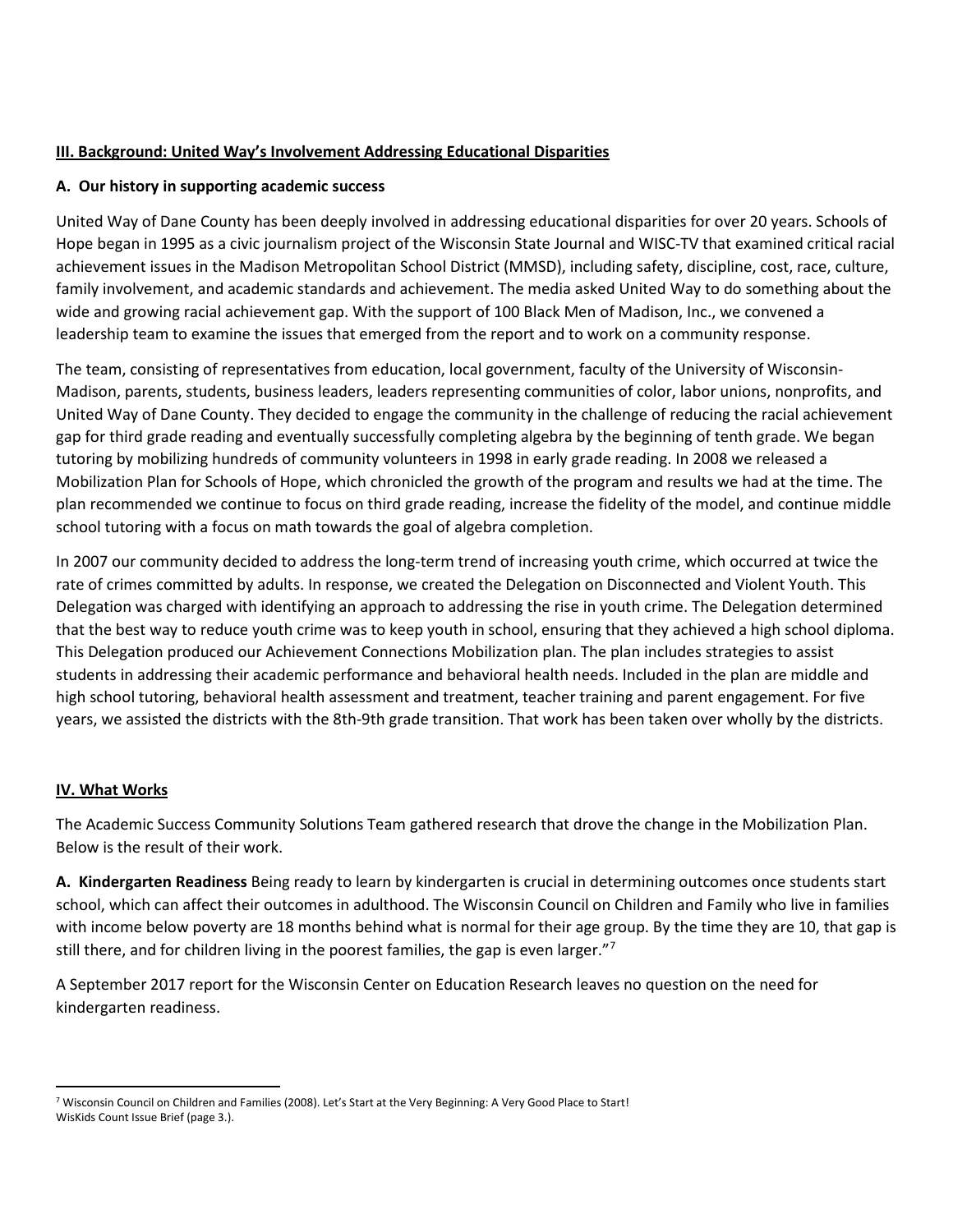## **III. Background: United Way's Involvement Addressing Educational Disparities**

### **A. Our history in supporting academic success**

United Way of Dane County has been deeply involved in addressing educational disparities for over 20 years. Schools of Hope began in 1995 as a civic journalism project of the Wisconsin State Journal and WISC-TV that examined critical racial achievement issues in the Madison Metropolitan School District (MMSD), including safety, discipline, cost, race, culture, family involvement, and academic standards and achievement. The media asked United Way to do something about the wide and growing racial achievement gap. With the support of 100 Black Men of Madison, Inc., we convened a leadership team to examine the issues that emerged from the report and to work on a community response.

The team, consisting of representatives from education, local government, faculty of the University of Wisconsin-Madison, parents, students, business leaders, leaders representing communities of color, labor unions, nonprofits, and United Way of Dane County. They decided to engage the community in the challenge of reducing the racial achievement gap for third grade reading and eventually successfully completing algebra by the beginning of tenth grade. We began tutoring by mobilizing hundreds of community volunteers in 1998 in early grade reading. In 2008 we released a Mobilization Plan for Schools of Hope, which chronicled the growth of the program and results we had at the time. The plan recommended we continue to focus on third grade reading, increase the fidelity of the model, and continue middle school tutoring with a focus on math towards the goal of algebra completion.

In 2007 our community decided to address the long-term trend of increasing youth crime, which occurred at twice the rate of crimes committed by adults. In response, we created the Delegation on Disconnected and Violent Youth. This Delegation was charged with identifying an approach to addressing the rise in youth crime. The Delegation determined that the best way to reduce youth crime was to keep youth in school, ensuring that they achieved a high school diploma. This Delegation produced our Achievement Connections Mobilization plan. The plan includes strategies to assist students in addressing their academic performance and behavioral health needs. Included in the plan are middle and high school tutoring, behavioral health assessment and treatment, teacher training and parent engagement. For five years, we assisted the districts with the 8th-9th grade transition. That work has been taken over wholly by the districts.

## **IV. What Works**

The Academic Success Community Solutions Team gathered research that drove the change in the Mobilization Plan. Below is the result of their work.

**A. Kindergarten Readiness** Being ready to learn by kindergarten is crucial in determining outcomes once students start school, which can affect their outcomes in adulthood. The Wisconsin Council on Children and Family who live in families with income below poverty are 18 months behind what is normal for their age group. By the time they are 10, that gap is still there, and for children living in the poorest families, the gap is even larger."<sup>[7](#page-7-0)</sup>

A September 2017 report for the Wisconsin Center on Education Research leaves no question on the need for kindergarten readiness.

<span id="page-7-0"></span><sup>7</sup> Wisconsin Council on Children and Families (2008). Let's Start at the Very Beginning: A Very Good Place to Start! WisKids Count Issue Brief (page 3.).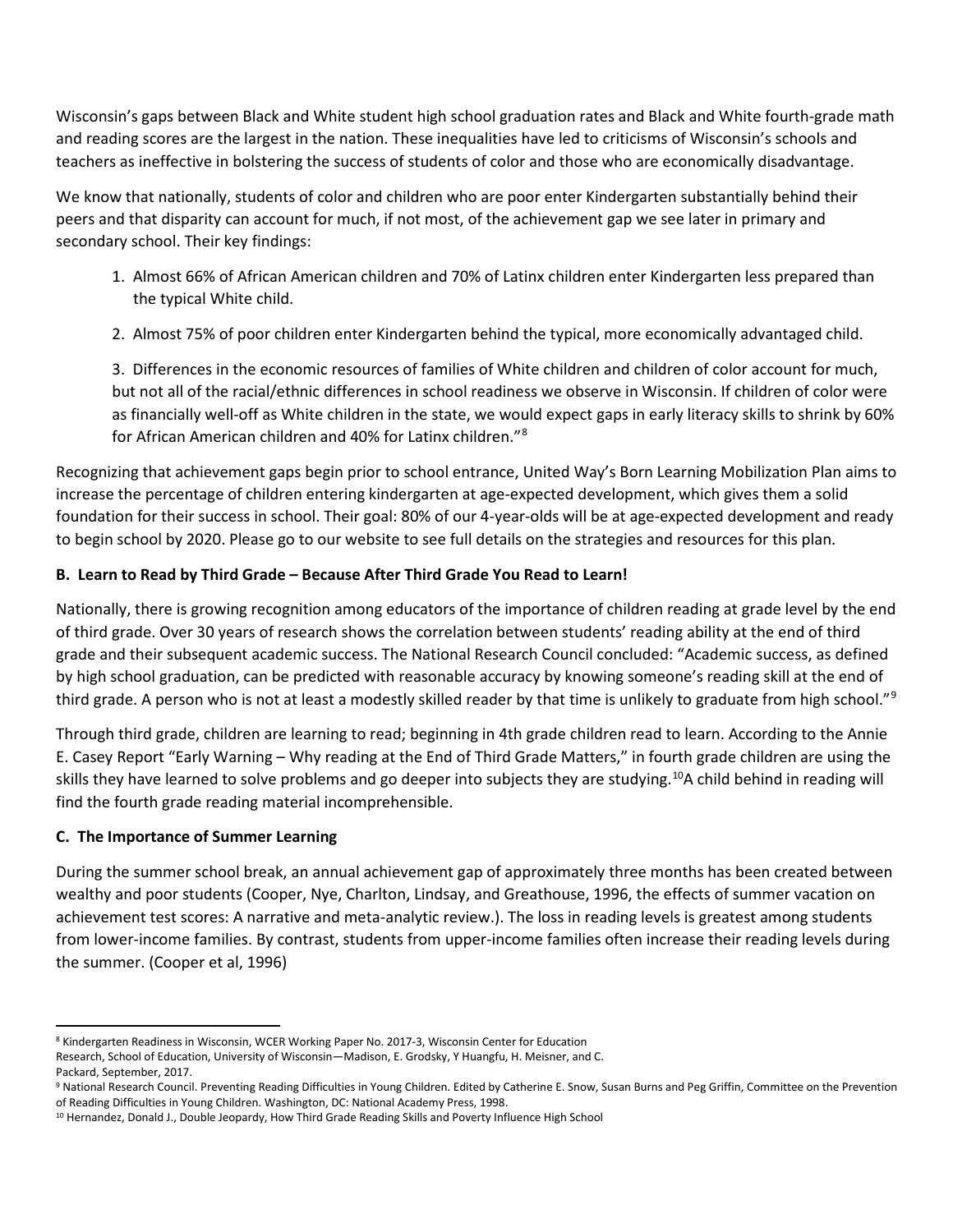Wisconsin's gaps between Black and White student high school graduation rates and Black and White fourth-grade math and reading scores are the largest in the nation. These inequalities have led to criticisms of Wisconsin's schools and teachers as ineffective in bolstering the success of students of color and those who are economically disadvantage.

We know that nationally, students of color and children who are poor enter Kindergarten substantially behind their peers and that disparity can account for much, if not most, of the achievement gap we see later in primary and secondary school. Their key findings:

- 1. Almost 66% of African American children and 70% of Latinx children enter Kindergarten less prepared than the typical White child.
- 2. Almost 75% of poor children enter Kindergarten behind the typical, more economically advantaged child.

3. Differences in the economic resources of families of White children and children of color account for much, but not all of the racial/ethnic differences in school readiness we observe in Wisconsin. If children of color were as financially well-off as White children in the state, we would expect gaps in early literacy skills to shrink by 60% for African American children and 40% for Latinx children."[8](#page-8-0)

Recognizing that achievement gaps begin prior to school entrance, United Way's Born Learning Mobilization Plan aims to increase the percentage of children entering kindergarten at age-expected development, which gives them a solid foundation for their success in school. Their goal: 80% of our 4-year-olds will be at age-expected development and ready to begin school by 2020. Please go to our website to see full details on the strategies and resources for this plan.

# **B. Learn to Read by Third Grade – Because After Third Grade You Read to Learn!**

Nationally, there is growing recognition among educators of the importance of children reading at grade level by the end of third grade. Over 30 years of research shows the correlation between students' reading ability at the end of third grade and their subsequent academic success. The National Research Council concluded: "Academic success, as defined by high school graduation, can be predicted with reasonable accuracy by knowing someone's reading skill at the end of third grade. A person who is not at least a modestly skilled reader by that time is unlikely to graduate from high school."<sup>[9](#page-8-1)</sup>

Through third grade, children are learning to read; beginning in 4th grade children read to learn. According to the Annie E. Casey Report "Early Warning – Why reading at the End of Third Grade Matters," in fourth grade children are using the skills they have learned to solve problems and go deeper into subjects they are studying.[10](#page-8-2)A child behind in reading will find the fourth grade reading material incomprehensible.

## **C. The Importance of Summer Learning**

During the summer school break, an annual achievement gap of approximately three months has been created between wealthy and poor students (Cooper, Nye, Charlton, Lindsay, and Greathouse, 1996, the effects of summer vacation on achievement test scores: A narrative and meta-analytic review.). The loss in reading levels is greatest among students from lower-income families. By contrast, students from upper-income families often increase their reading levels during the summer. (Cooper et al, 1996)

<span id="page-8-0"></span><sup>8</sup> Kindergarten Readiness in Wisconsin, WCER Working Paper No. 2017-3, Wisconsin Center for Education

Research, School of Education, University of Wisconsin—Madison, E. Grodsky, Y Huangfu, H. Meisner, and C. Packard, September, 2017.

<span id="page-8-1"></span><sup>&</sup>lt;sup>9</sup> National Research Council. Preventing Reading Difficulties in Young Children. Edited by Catherine E. Snow, Susan Burns and Peg Griffin, Committee on the Prevention of Reading Difficulties in Young Children. Washington, DC: National Academy Press, 1998.

<span id="page-8-2"></span><sup>&</sup>lt;sup>10</sup> Hernandez, Donald J., Double Jeopardy, How Third Grade Reading Skills and Poverty Influence High School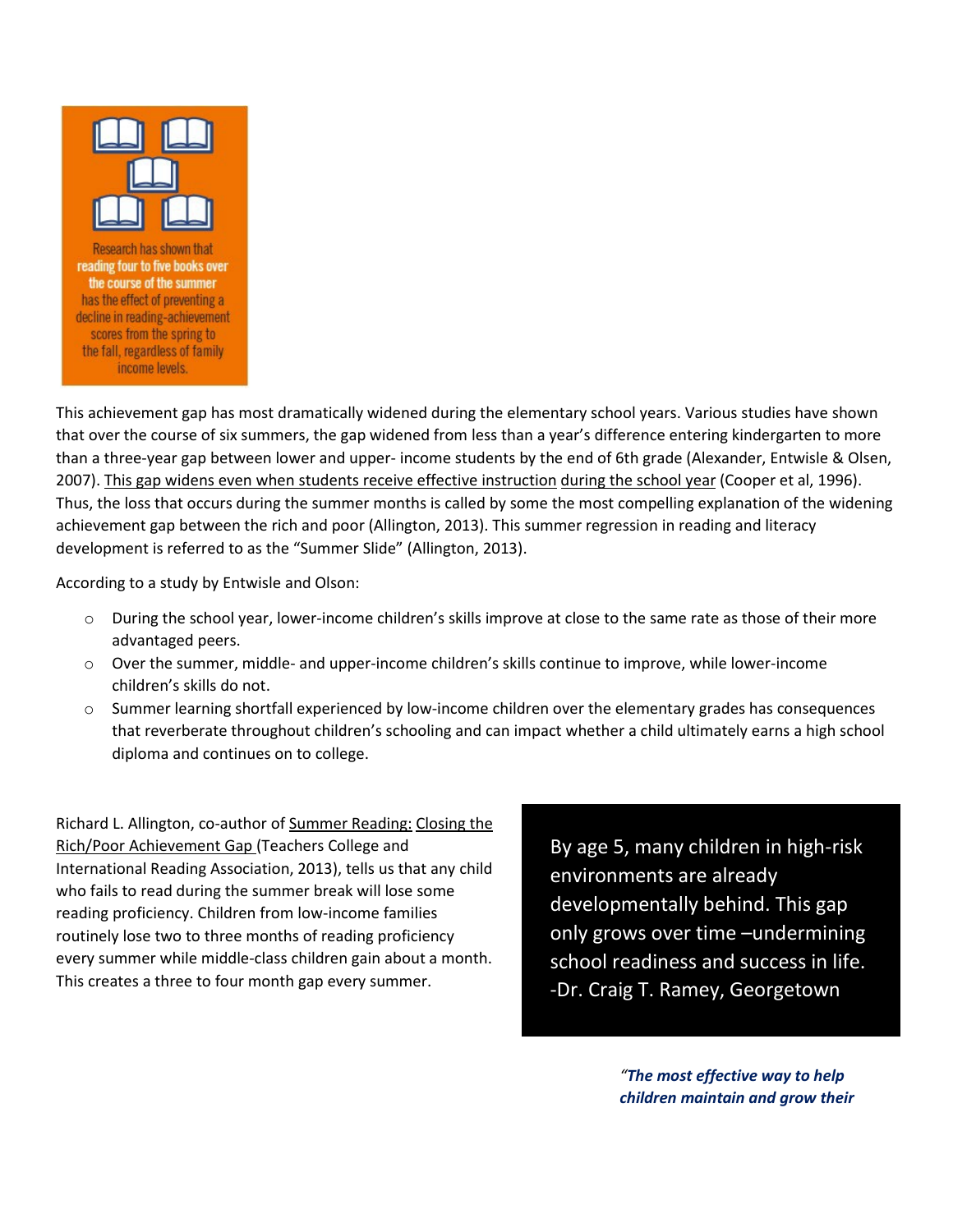

Research has shown that reading four to five books over the course of the summer has the effect of preventing a decline in reading-achievement scores from the spring to the fall, regardless of family income levels.

This achievement gap has most dramatically widened during the elementary school years. Various studies have shown that over the course of six summers, the gap widened from less than a year's difference entering kindergarten to more than a three-year gap between lower and upper- income students by the end of 6th grade (Alexander, Entwisle & Olsen, 2007). This gap widens even when students receive effective instruction during the school year (Cooper et al, 1996). Thus, the loss that occurs during the summer months is called by some the most compelling explanation of the widening achievement gap between the rich and poor (Allington, 2013). This summer regression in reading and literacy development is referred to as the "Summer Slide" (Allington, 2013).

According to a study by Entwisle and Olson:

- o During the school year, lower-income children's skills improve at close to the same rate as those of their more advantaged peers.
- o Over the summer, middle- and upper-income children's skills continue to improve, while lower-income children's skills do not.
- o Summer learning shortfall experienced by low-income children over the elementary grades has consequences that reverberate throughout children's schooling and can impact whether a child ultimately earns a high school diploma and continues on to college.

Richard L. Allington, co-author of Summer Reading: Closing the Rich/Poor Achievement Gap (Teachers College and International Reading Association, 2013), tells us that any child who fails to read during the summer break will lose some reading proficiency. Children from low-income families routinely lose two to three months of reading proficiency every summer while middle-class children gain about a month. This creates a three to four month gap every summer.

By age 5, many children in high-risk environments are already developmentally behind. This gap only grows over time –undermining school readiness and success in life. -Dr. Craig T. Ramey, Georgetown

> *"The most effective way to help children maintain and grow their*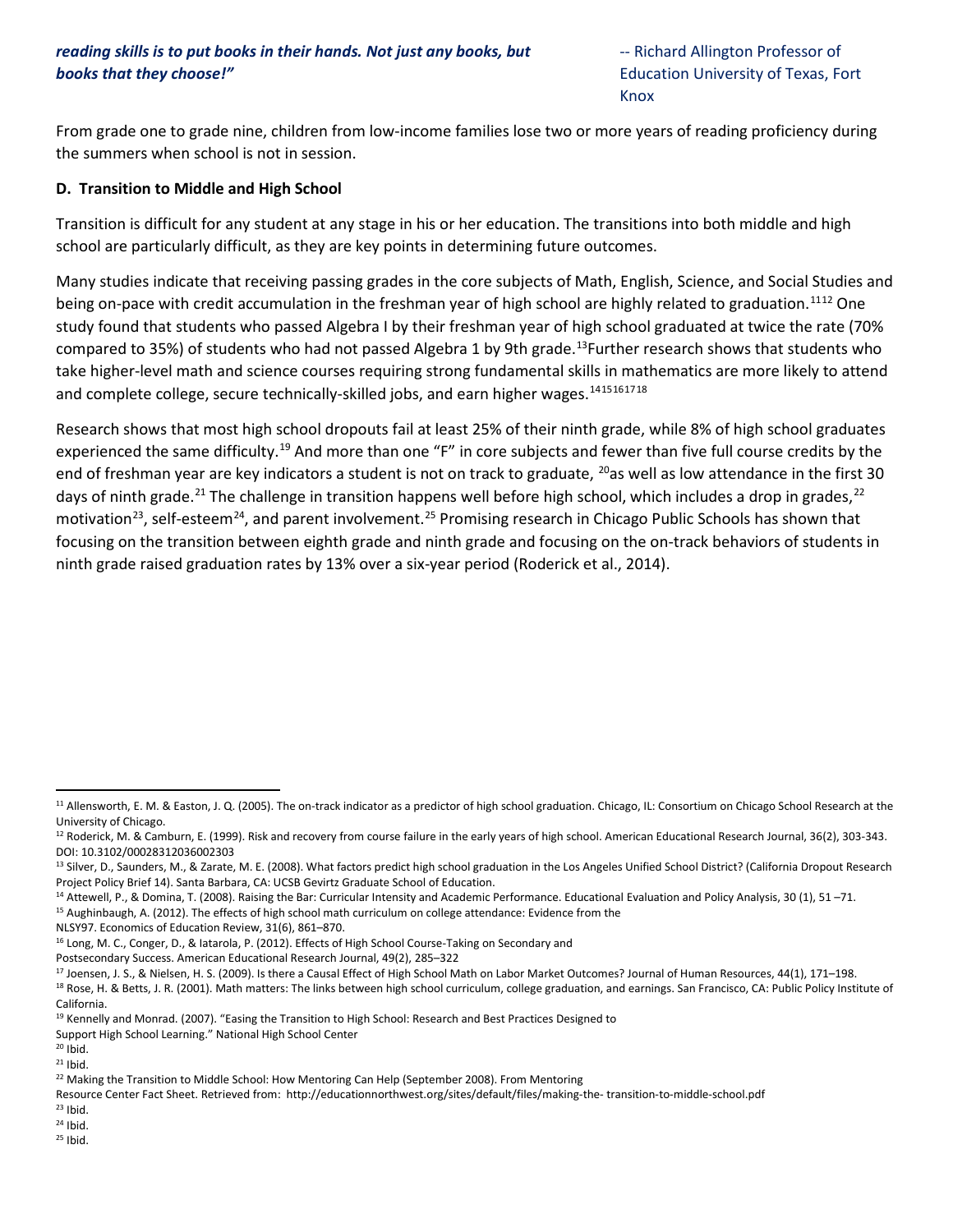From grade one to grade nine, children from low-income families lose two or more years of reading proficiency during the summers when school is not in session.

#### **D. Transition to Middle and High School**

Transition is difficult for any student at any stage in his or her education. The transitions into both middle and high school are particularly difficult, as they are key points in determining future outcomes.

Many studies indicate that receiving passing grades in the core subjects of Math, English, Science, and Social Studies and being on-pace with credit accumulation in the freshman year of high school are highly related to graduation.<sup>[11](#page-10-0)[12](#page-10-1)</sup> One study found that students who passed Algebra I by their freshman year of high school graduated at twice the rate (70% compared to 35%) of students who had not passed Algebra 1 by 9th grade.<sup>13</sup>Further research shows that students who take higher-level math and science courses requiring strong fundamental skills in mathematics are more likely to attend and complete college, secure technically-skilled jobs, and earn higher wages.<sup>[14](#page-10-3)[15](#page-10-4)[16](#page-10-5)[17](#page-10-6)[18](#page-10-7)</sup>

Research shows that most high school dropouts fail at least 25% of their ninth grade, while 8% of high school graduates experienced the same difficulty.<sup>[19](#page-10-8)</sup> And more than one "F" in core subjects and fewer than five full course credits by the end of freshman year are key indicators a student is not on track to graduate,  $^{20}$ as well as low attendance in the first 30 days of ninth grade.<sup>[21](#page-10-10)</sup> The challenge in transition happens well before high school, which includes a drop in grades,<sup>[22](#page-10-11)</sup> motivation<sup>[23](#page-10-12)</sup>, self-esteem<sup>[24](#page-10-13)</sup>, and parent involvement.<sup>[25](#page-10-14)</sup> Promising research in Chicago Public Schools has shown that focusing on the transition between eighth grade and ninth grade and focusing on the on-track behaviors of students in ninth grade raised graduation rates by 13% over a six-year period (Roderick et al., 2014).

<span id="page-10-3"></span><sup>14</sup> Attewell, P., & Domina, T. (2008). Raising the Bar: Curricular Intensity and Academic Performance. Educational Evaluation and Policy Analysis, 30 (1), 51 -71.

<span id="page-10-4"></span><sup>15</sup> Aughinbaugh, A. (2012). The effects of high school math curriculum on college attendance: Evidence from the

NLSY97. Economics of Education Review, 31(6), 861–870.

<span id="page-10-5"></span><sup>16</sup> Long, M. C., Conger, D., & Iatarola, P. (2012). Effects of High School Course-Taking on Secondary and

Postsecondary Success. American Educational Research Journal, 49(2), 285–322

Support High School Learning." National High School Center

<span id="page-10-10"></span> $21$  Ibid.

- <span id="page-10-12"></span> $23$  Ibid.
- <span id="page-10-13"></span> $24$  Ibid.
- <span id="page-10-14"></span><sup>25</sup> Ibid.

<span id="page-10-0"></span><sup>&</sup>lt;sup>11</sup> Allensworth, E. M. & Easton, J. Q. (2005). The on-track indicator as a predictor of high school graduation. Chicago, IL: Consortium on Chicago School Research at the University of Chicago.

<span id="page-10-1"></span><sup>&</sup>lt;sup>12</sup> Roderick, M. & Camburn, E. (1999). Risk and recovery from course failure in the early years of high school. American Educational Research Journal, 36(2), 303-343. DOI: 10.3102/00028312036002303

<span id="page-10-2"></span><sup>13</sup> Silver, D., Saunders, M., & Zarate, M. E. (2008). What factors predict high school graduation in the Los Angeles Unified School District? (California Dropout Research Project Policy Brief 14). Santa Barbara, CA: UCSB Gevirtz Graduate School of Education.

<span id="page-10-7"></span><span id="page-10-6"></span><sup>&</sup>lt;sup>17</sup> Joensen, J. S., & Nielsen, H. S. (2009). Is there a Causal Effect of High School Math on Labor Market Outcomes? Journal of Human Resources, 44(1), 171–198. 18 Rose, H. & Betts, J. R. (2001). Math matters: The links between high school curriculum, college graduation, and earnings. San Francisco, CA: Public Policy Institute of California.

<span id="page-10-8"></span><sup>&</sup>lt;sup>19</sup> Kennelly and Monrad. (2007). "Easing the Transition to High School: Research and Best Practices Designed to

<span id="page-10-9"></span> $20$  Ibid.

<span id="page-10-11"></span><sup>&</sup>lt;sup>22</sup> Making the Transition to Middle School: How Mentoring Can Help (September 2008). From Mentoring

Resource Center Fact Sheet. Retrieved from: http://educationnorthwest.org/sites/default/files/making-the- transition-to-middle-school.pdf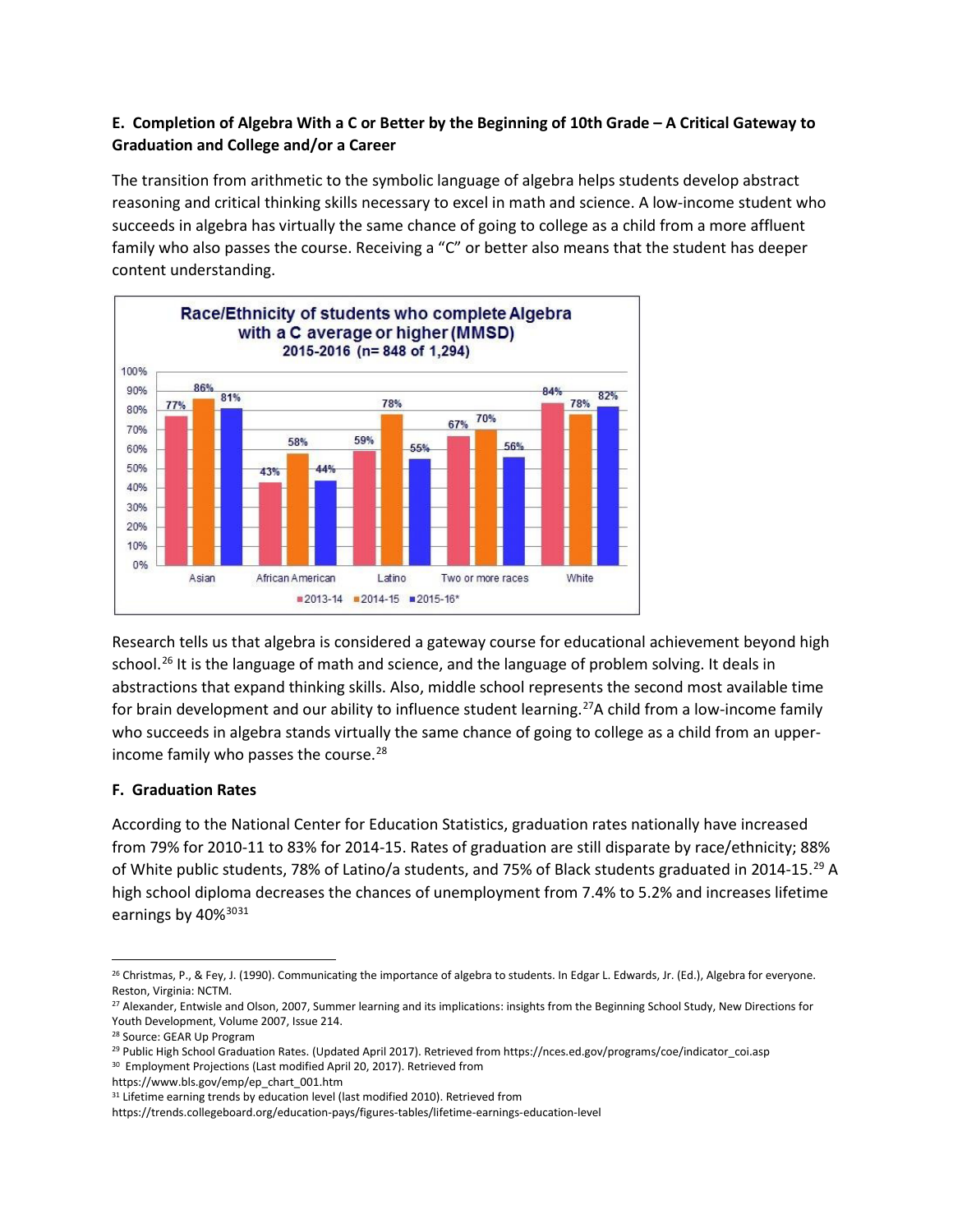# **E. Completion of Algebra With a C or Better by the Beginning of 10th Grade – A Critical Gateway to Graduation and College and/or a Career**

The transition from arithmetic to the symbolic language of algebra helps students develop abstract reasoning and critical thinking skills necessary to excel in math and science. A low-income student who succeeds in algebra has virtually the same chance of going to college as a child from a more affluent family who also passes the course. Receiving a "C" or better also means that the student has deeper content understanding.



Research tells us that algebra is considered a gateway course for educational achievement beyond high school.<sup>[26](#page-11-0)</sup> It is the language of math and science, and the language of problem solving. It deals in abstractions that expand thinking skills. Also, middle school represents the second most available time for brain development and our ability to influence student learning.<sup>27</sup>A child from a low-income family who succeeds in algebra stands virtually the same chance of going to college as a child from an upper-income family who passes the course.<sup>[28](#page-11-2)</sup>

### **F. Graduation Rates**

According to the National Center for Education Statistics, graduation rates nationally have increased from 79% for 2010-11 to 83% for 2014-15. Rates of graduation are still disparate by race/ethnicity; 88% of White public students, 78% of Latino/a students, and 75% of Black students graduated in 2014-15.[29](#page-11-3) A high school diploma decreases the chances of unemployment from 7.4% to 5.2% and increases lifetime earnings by 40%<sup>[30](#page-11-4)[31](#page-11-5)</sup>

<span id="page-11-0"></span><sup>&</sup>lt;sup>26</sup> Christmas, P., & Fey, J. (1990). Communicating the importance of algebra to students. In Edgar L. Edwards, Jr. (Ed.), Algebra for everyone. Reston, Virginia: NCTM.

<span id="page-11-1"></span><sup>&</sup>lt;sup>27</sup> Alexander, Entwisle and Olson, 2007, Summer learning and its implications: insights from the Beginning School Study, New Directions for Youth Development, Volume 2007, Issue 214.

<span id="page-11-2"></span><sup>28</sup> Source: GEAR Up Program

<span id="page-11-3"></span><sup>&</sup>lt;sup>29</sup> Public High School Graduation Rates. (Updated April 2017). Retrieved from https://nces.ed.gov/programs/coe/indicator\_coi.asp

<span id="page-11-4"></span><sup>&</sup>lt;sup>30</sup> Employment Projections (Last modified April 20, 2017). Retrieved from

https://www.bls.gov/emp/ep\_chart\_001.htm

<span id="page-11-5"></span><sup>&</sup>lt;sup>31</sup> Lifetime earning trends by education level (last modified 2010). Retrieved from

https://trends.collegeboard.org/education-pays/figures-tables/lifetime-earnings-education-level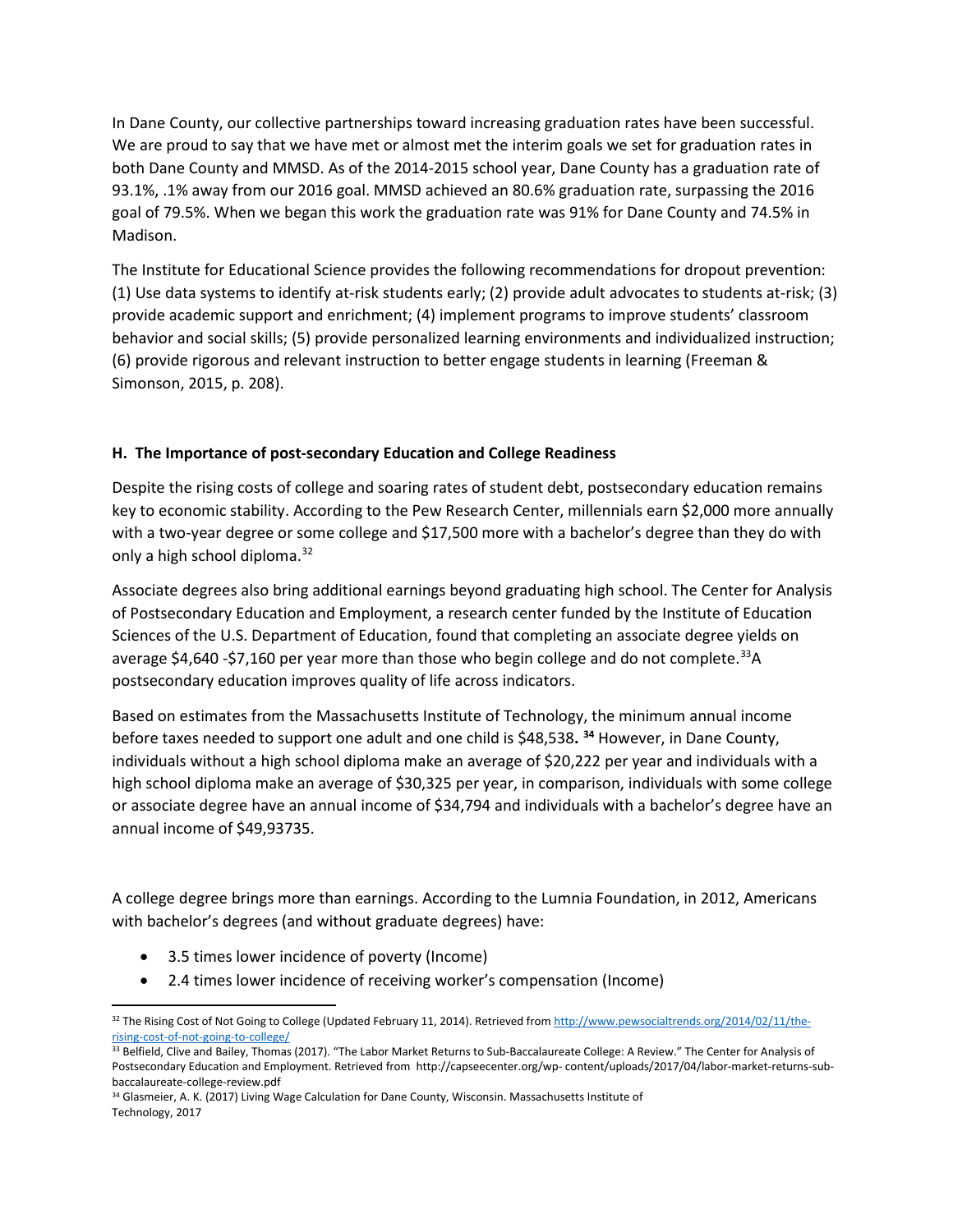In Dane County, our collective partnerships toward increasing graduation rates have been successful. We are proud to say that we have met or almost met the interim goals we set for graduation rates in both Dane County and MMSD. As of the 2014-2015 school year, Dane County has a graduation rate of 93.1%, .1% away from our 2016 goal. MMSD achieved an 80.6% graduation rate, surpassing the 2016 goal of 79.5%. When we began this work the graduation rate was 91% for Dane County and 74.5% in Madison.

The Institute for Educational Science provides the following recommendations for dropout prevention: (1) Use data systems to identify at-risk students early; (2) provide adult advocates to students at-risk; (3) provide academic support and enrichment; (4) implement programs to improve students' classroom behavior and social skills; (5) provide personalized learning environments and individualized instruction; (6) provide rigorous and relevant instruction to better engage students in learning (Freeman & Simonson, 2015, p. 208).

## **H. The Importance of post-secondary Education and College Readiness**

Despite the rising costs of college and soaring rates of student debt, postsecondary education remains key to economic stability. According to the Pew Research Center, millennials earn \$2,000 more annually with a two-year degree or some college and \$17,500 more with a bachelor's degree than they do with only a high school diploma.<sup>[32](#page-12-0)</sup>

Associate degrees also bring additional earnings beyond graduating high school. The Center for Analysis of Postsecondary Education and Employment, a research center funded by the Institute of Education Sciences of the U.S. Department of Education, found that completing an associate degree yields on average \$4,640 -\$7,160 per year more than those who begin college and do not complete.<sup>33</sup>A postsecondary education improves quality of life across indicators.

Based on estimates from the Massachusetts Institute of Technology, the minimum annual income before taxes needed to support one adult and one child is \$48,538**. [34](#page-12-2)** However, in Dane County, individuals without a high school diploma make an average of \$20,222 per year and individuals with a high school diploma make an average of \$30,325 per year, in comparison, individuals with some college or associate degree have an annual income of \$34,794 and individuals with a bachelor's degree have an annual income of \$49,93735.

A college degree brings more than earnings. According to the Lumnia Foundation, in 2012, Americans with bachelor's degrees (and without graduate degrees) have:

- 3.5 times lower incidence of poverty (Income)
- 2.4 times lower incidence of receiving worker's compensation (Income)

<span id="page-12-2"></span>34 Glasmeier, A. K. (2017) Living Wage Calculation for Dane County, Wisconsin. Massachusetts Institute of Technology, 2017

<span id="page-12-0"></span><sup>32</sup> The Rising Cost of Not Going to College (Updated February 11, 2014). Retrieved fro[m http://www.pewsocialtrends.org/2014/02/11/the](http://www.pewsocialtrends.org/2014/02/11/the-rising-cost-of-not-going-to-college/)[rising-cost-of-not-going-to-college/](http://www.pewsocialtrends.org/2014/02/11/the-rising-cost-of-not-going-to-college/)

<span id="page-12-1"></span><sup>&</sup>lt;sup>33</sup> Belfield, Clive and Bailey, Thomas (2017). "The Labor Market Returns to Sub-Baccalaureate College: A Review." The Center for Analysis of Postsecondary Education and Employment. Retrieved from http://capseecenter.org/wp- content/uploads/2017/04/labor-market-returns-subbaccalaureate-college-review.pdf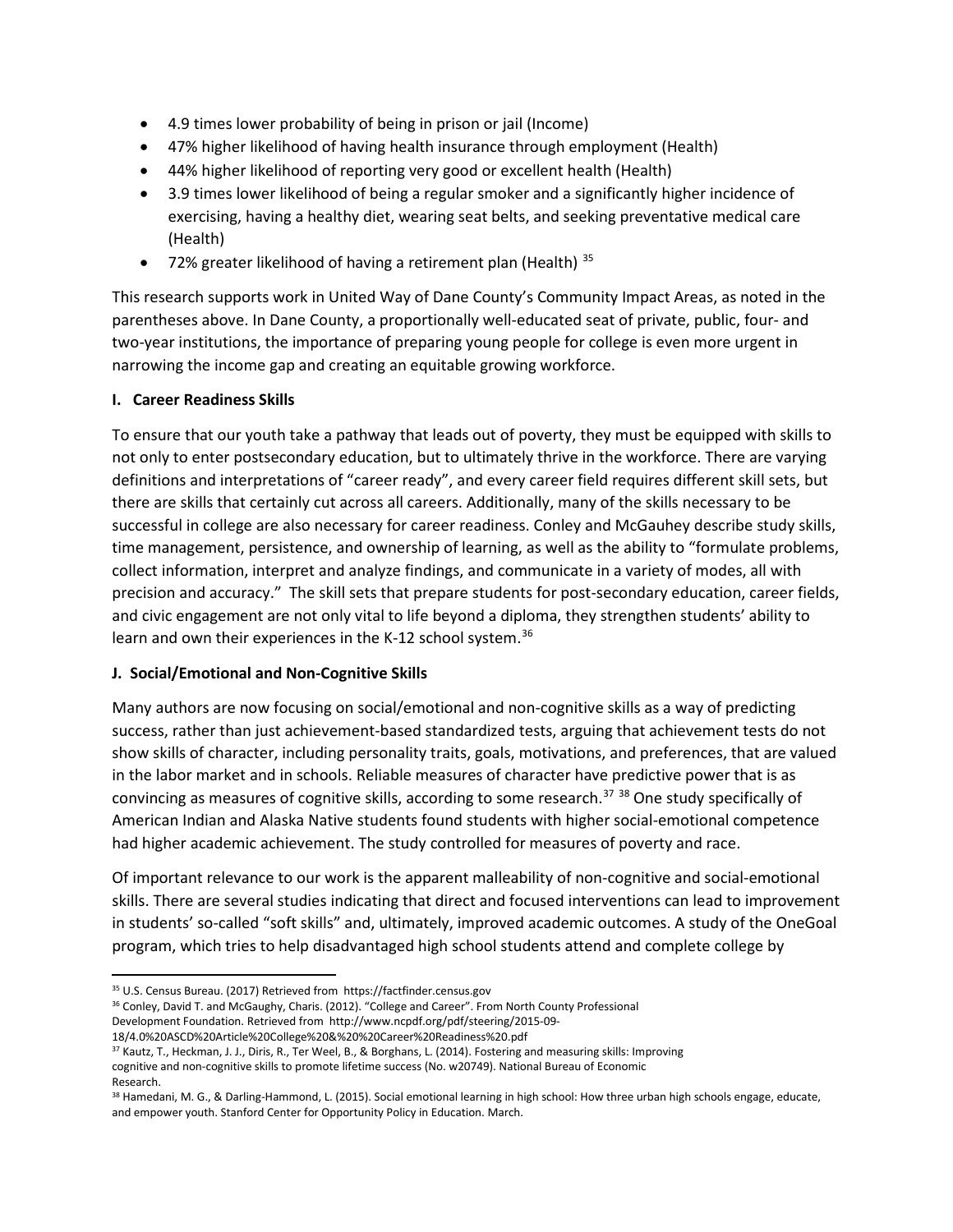- 4.9 times lower probability of being in prison or jail (Income)
- 47% higher likelihood of having health insurance through employment (Health)
- 44% higher likelihood of reporting very good or excellent health (Health)
- 3.9 times lower likelihood of being a regular smoker and a significantly higher incidence of exercising, having a healthy diet, wearing seat belts, and seeking preventative medical care (Health)
- 72% greater likelihood of having a retirement plan (Health)  $35$

This research supports work in United Way of Dane County's Community Impact Areas, as noted in the parentheses above. In Dane County, a proportionally well-educated seat of private, public, four- and two-year institutions, the importance of preparing young people for college is even more urgent in narrowing the income gap and creating an equitable growing workforce.

### **I. Career Readiness Skills**

To ensure that our youth take a pathway that leads out of poverty, they must be equipped with skills to not only to enter postsecondary education, but to ultimately thrive in the workforce. There are varying definitions and interpretations of "career ready", and every career field requires different skill sets, but there are skills that certainly cut across all careers. Additionally, many of the skills necessary to be successful in college are also necessary for career readiness. Conley and McGauhey describe study skills, time management, persistence, and ownership of learning, as well as the ability to "formulate problems, collect information, interpret and analyze findings, and communicate in a variety of modes, all with precision and accuracy." The skill sets that prepare students for post-secondary education, career fields, and civic engagement are not only vital to life beyond a diploma, they strengthen students' ability to learn and own their experiences in the K-12 school system.<sup>[36](#page-13-1)</sup>

### **J. Social/Emotional and Non-Cognitive Skills**

Many authors are now focusing on social/emotional and non-cognitive skills as a way of predicting success, rather than just achievement-based standardized tests, arguing that achievement tests do not show skills of character, including personality traits, goals, motivations, and preferences, that are valued in the labor market and in schools. Reliable measures of character have predictive power that is as convincing as measures of cognitive skills, according to some research.<sup>[37](#page-13-2)</sup>  $38$  One study specifically of American Indian and Alaska Native students found students with higher social-emotional competence had higher academic achievement. The study controlled for measures of poverty and race.

Of important relevance to our work is the apparent malleability of non-cognitive and social-emotional skills. There are several studies indicating that direct and focused interventions can lead to improvement in students' so-called "soft skills" and, ultimately, improved academic outcomes. A study of the OneGoal program, which tries to help disadvantaged high school students attend and complete college by

<sup>35</sup> U.S. Census Bureau. (2017) Retrieved from https://factfinder.census.gov

<span id="page-13-1"></span><span id="page-13-0"></span><sup>36</sup> Conley, David T. and McGaughy, Charis. (2012). "College and Career". From North County Professional

Development Foundation. Retrieved from http://www.ncpdf.org/pdf/steering/2015-09- 18/4.0%20ASCD%20Article%20College%20&%20%20Career%20Readiness%20.pdf

<sup>37</sup> Kautz, T., Heckman, J. J., Diris, R., Ter Weel, B., & Borghans, L. (2014). Fostering and measuring skills: Improving

<span id="page-13-2"></span>cognitive and non-cognitive skills to promote lifetime success (No. w20749). National Bureau of Economic

<span id="page-13-3"></span>Research.

<sup>38</sup> Hamedani, M. G., & Darling-Hammond, L. (2015). Social emotional learning in high school: How three urban high schools engage, educate, and empower youth. Stanford Center for Opportunity Policy in Education. March.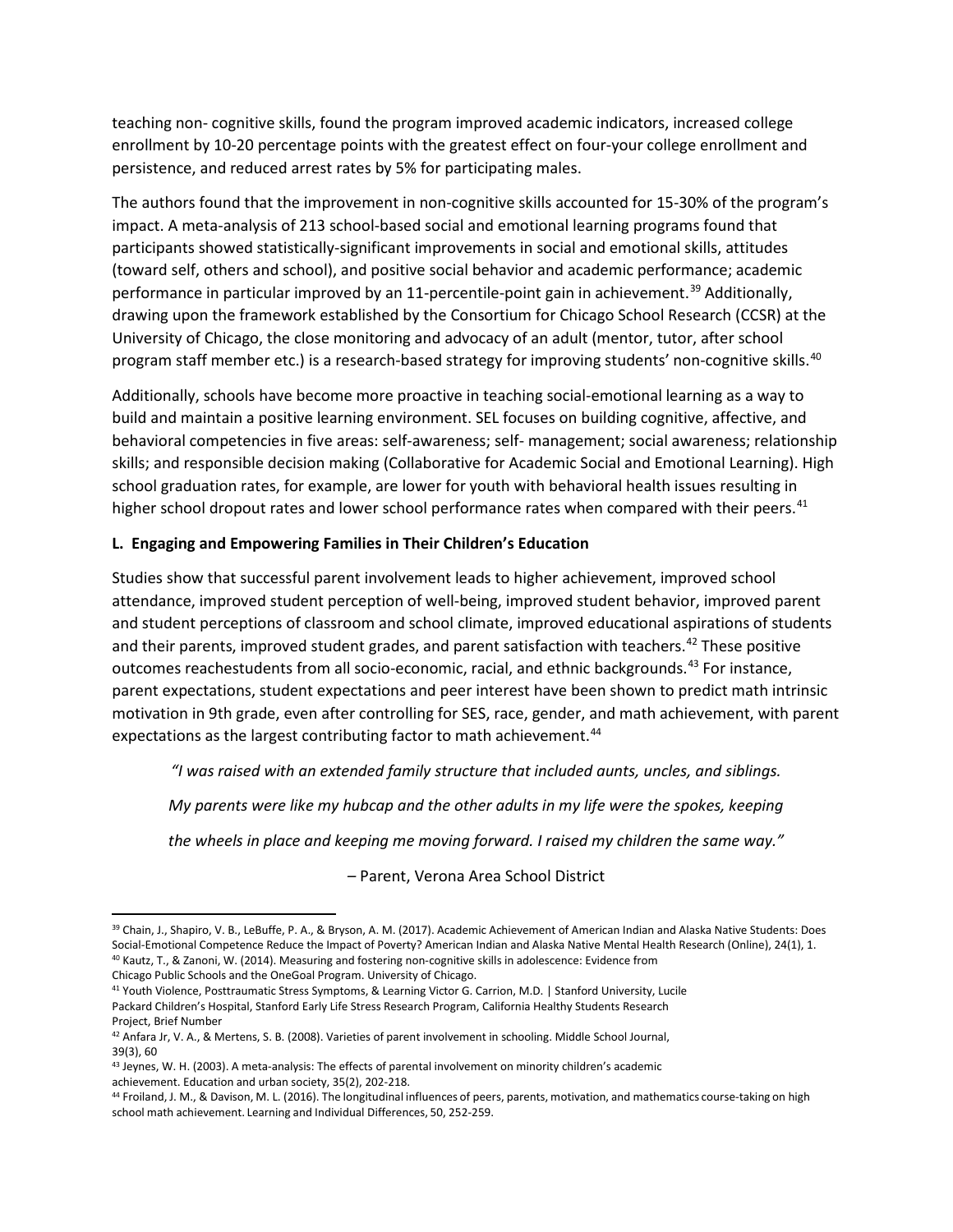teaching non- cognitive skills, found the program improved academic indicators, increased college enrollment by 10-20 percentage points with the greatest effect on four-your college enrollment and persistence, and reduced arrest rates by 5% for participating males.

The authors found that the improvement in non-cognitive skills accounted for 15-30% of the program's impact. A meta-analysis of 213 school-based social and emotional learning programs found that participants showed statistically-significant improvements in social and emotional skills, attitudes (toward self, others and school), and positive social behavior and academic performance; academic performance in particular improved by an 11-percentile-point gain in achievement.<sup>[39](#page-14-0)</sup> Additionally, drawing upon the framework established by the Consortium for Chicago School Research (CCSR) at the University of Chicago, the close monitoring and advocacy of an adult (mentor, tutor, after school program staff member etc.) is a research-based strategy for improving students' non-cognitive skills.<sup>[40](#page-14-1)</sup>

Additionally, schools have become more proactive in teaching social-emotional learning as a way to build and maintain a positive learning environment. SEL focuses on building cognitive, affective, and behavioral competencies in five areas: self-awareness; self- management; social awareness; relationship skills; and responsible decision making (Collaborative for Academic Social and Emotional Learning). High school graduation rates, for example, are lower for youth with behavioral health issues resulting in higher school dropout rates and lower school performance rates when compared with their peers.<sup>[41](#page-14-2)</sup>

## **L. Engaging and Empowering Families in Their Children's Education**

Studies show that successful parent involvement leads to higher achievement, improved school attendance, improved student perception of well-being, improved student behavior, improved parent and student perceptions of classroom and school climate, improved educational aspirations of students and their parents, improved student grades, and parent satisfaction with teachers.<sup>[42](#page-14-3)</sup> These positive outcomes reachestudents from all socio-economic, racial, and ethnic backgrounds.<sup>[43](#page-14-4)</sup> For instance, parent expectations, student expectations and peer interest have been shown to predict math intrinsic motivation in 9th grade, even after controlling for SES, race, gender, and math achievement, with parent expectations as the largest contributing factor to math achievement.<sup>[44](#page-14-5)</sup>

*"I was raised with an extended family structure that included aunts, uncles, and siblings.*

*My parents were like my hubcap and the other adults in my life were the spokes, keeping*

*the wheels in place and keeping me moving forward. I raised my children the same way."*

*–* Parent, Verona Area School District

<span id="page-14-1"></span>Chicago Public Schools and the OneGoal Program. University of Chicago.

<span id="page-14-2"></span><sup>41</sup> Youth Violence, Posttraumatic Stress Symptoms, & Learning Victor G. Carrion, M.D. | Stanford University, Lucile Packard Children's Hospital, Stanford Early Life Stress Research Program, California Healthy Students Research Project, Brief Number

<span id="page-14-0"></span><sup>39</sup> Chain, J., Shapiro, V. B., LeBuffe, P. A., & Bryson, A. M. (2017). Academic Achievement of American Indian and Alaska Native Students: Does Social-Emotional Competence Reduce the Impact of Poverty? American Indian and Alaska Native Mental Health Research (Online), 24(1), 1. <sup>40</sup> Kautz, T., & Zanoni, W. (2014). Measuring and fostering non-cognitive skills in adolescence: Evidence from

<span id="page-14-3"></span><sup>42</sup> Anfara Jr, V. A., & Mertens, S. B. (2008). Varieties of parent involvement in schooling. Middle School Journal, 39(3), 60

<span id="page-14-4"></span><sup>43</sup> Jeynes, W. H. (2003). A meta-analysis: The effects of parental involvement on minority children's academic achievement. Education and urban society, 35(2), 202-218.

<span id="page-14-5"></span><sup>44</sup> Froiland, J. M., & Davison, M. L. (2016). The longitudinal influences of peers, parents, motivation, and mathematics course-taking on high school math achievement. Learning and Individual Differences, 50, 252-259.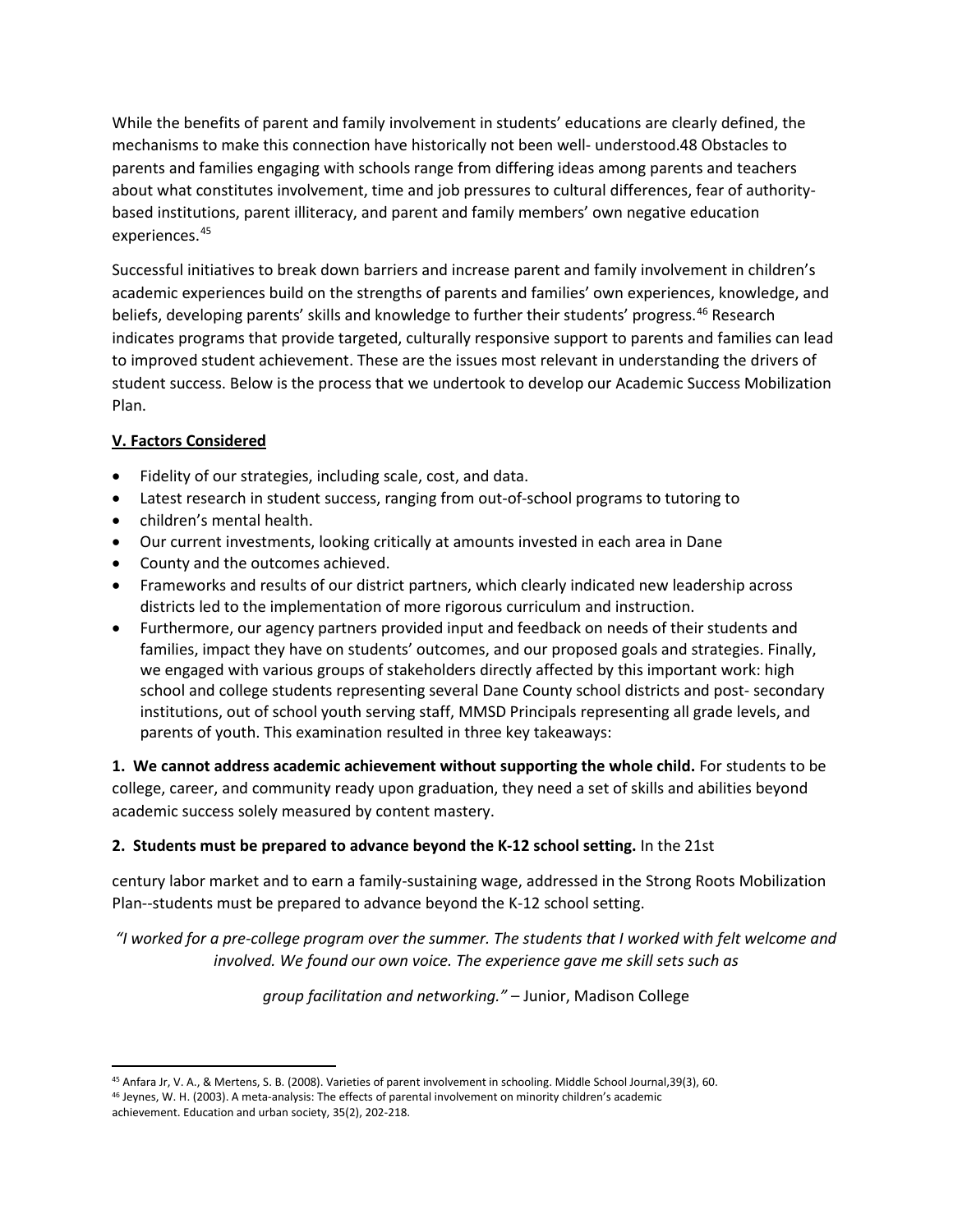While the benefits of parent and family involvement in students' educations are clearly defined, the mechanisms to make this connection have historically not been well- understood.48 Obstacles to parents and families engaging with schools range from differing ideas among parents and teachers about what constitutes involvement, time and job pressures to cultural differences, fear of authoritybased institutions, parent illiteracy, and parent and family members' own negative education experiences.[45](#page-15-0)

Successful initiatives to break down barriers and increase parent and family involvement in children's academic experiences build on the strengths of parents and families' own experiences, knowledge, and beliefs, developing parents' skills and knowledge to further their students' progress.<sup>[46](#page-15-1)</sup> Research indicates programs that provide targeted, culturally responsive support to parents and families can lead to improved student achievement. These are the issues most relevant in understanding the drivers of student success. Below is the process that we undertook to develop our Academic Success Mobilization Plan.

# **V. Factors Considered**

- Fidelity of our strategies, including scale, cost, and data.
- Latest research in student success, ranging from out-of-school programs to tutoring to
- children's mental health.
- Our current investments, looking critically at amounts invested in each area in Dane
- County and the outcomes achieved.
- Frameworks and results of our district partners, which clearly indicated new leadership across districts led to the implementation of more rigorous curriculum and instruction.
- Furthermore, our agency partners provided input and feedback on needs of their students and families, impact they have on students' outcomes, and our proposed goals and strategies. Finally, we engaged with various groups of stakeholders directly affected by this important work: high school and college students representing several Dane County school districts and post- secondary institutions, out of school youth serving staff, MMSD Principals representing all grade levels, and parents of youth. This examination resulted in three key takeaways:

**1. We cannot address academic achievement without supporting the whole child.** For students to be college, career, and community ready upon graduation, they need a set of skills and abilities beyond academic success solely measured by content mastery.

## **2. Students must be prepared to advance beyond the K-12 school setting.** In the 21st

century labor market and to earn a family-sustaining wage, addressed in the Strong Roots Mobilization Plan--students must be prepared to advance beyond the K-12 school setting.

*"I worked for a pre-college program over the summer. The students that I worked with felt welcome and involved. We found our own voice. The experience gave me skill sets such as*

*group facilitation and networking."* – Junior, Madison College

<span id="page-15-1"></span><span id="page-15-0"></span><sup>45</sup> Anfara Jr, V. A., & Mertens, S. B. (2008). Varieties of parent involvement in schooling. Middle School Journal, 39(3), 60. <sup>46</sup> Jeynes, W. H. (2003). A meta-analysis: The effects of parental involvement on minority children's academic achievement. Education and urban society, 35(2), 202-218.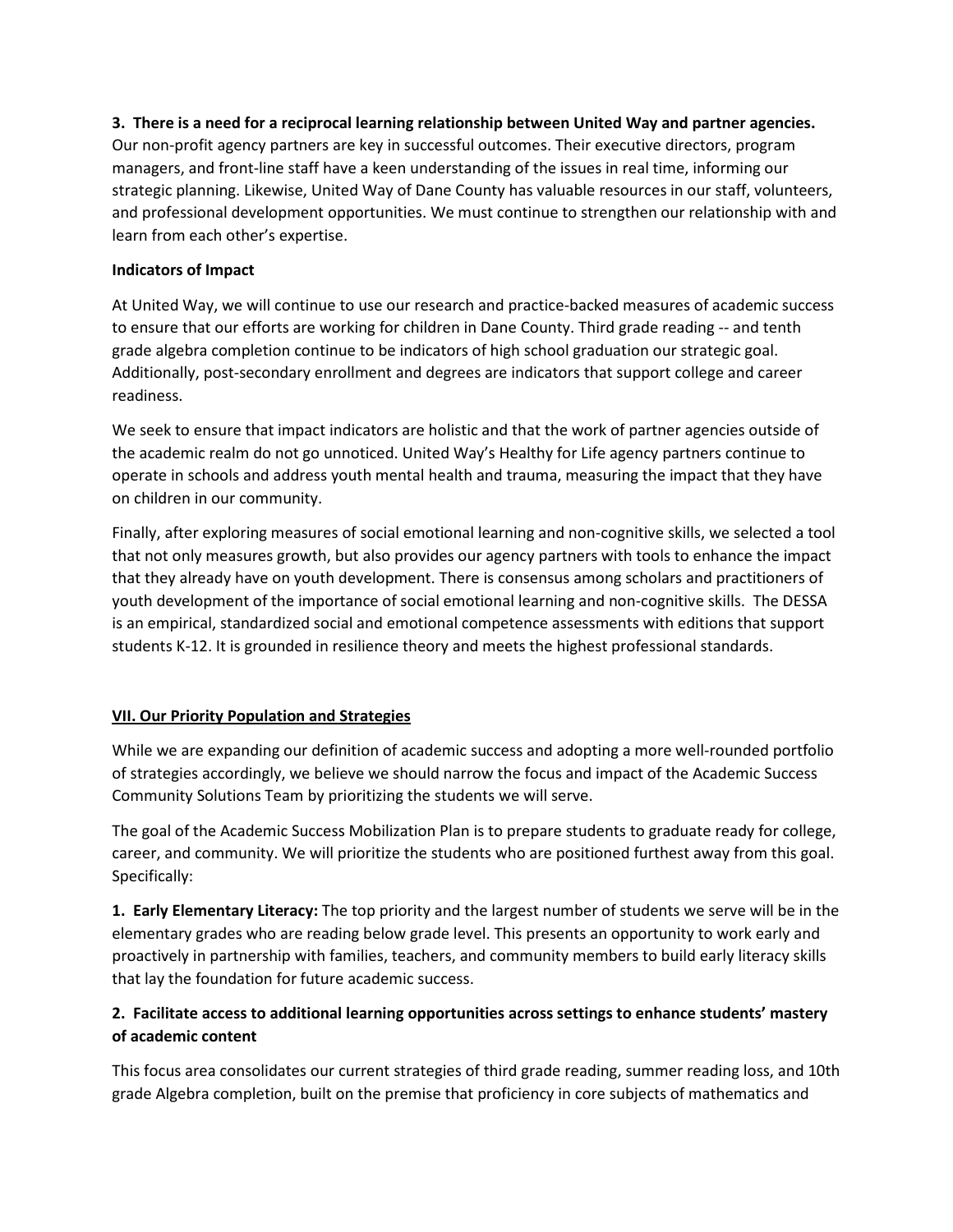### **3. There is a need for a reciprocal learning relationship between United Way and partner agencies.**

Our non-profit agency partners are key in successful outcomes. Their executive directors, program managers, and front-line staff have a keen understanding of the issues in real time, informing our strategic planning. Likewise, United Way of Dane County has valuable resources in our staff, volunteers, and professional development opportunities. We must continue to strengthen our relationship with and learn from each other's expertise.

### **Indicators of Impact**

At United Way, we will continue to use our research and practice-backed measures of academic success to ensure that our efforts are working for children in Dane County. Third grade reading -- and tenth grade algebra completion continue to be indicators of high school graduation our strategic goal. Additionally, post-secondary enrollment and degrees are indicators that support college and career readiness.

We seek to ensure that impact indicators are holistic and that the work of partner agencies outside of the academic realm do not go unnoticed. United Way's Healthy for Life agency partners continue to operate in schools and address youth mental health and trauma, measuring the impact that they have on children in our community.

Finally, after exploring measures of social emotional learning and non-cognitive skills, we selected a tool that not only measures growth, but also provides our agency partners with tools to enhance the impact that they already have on youth development. There is consensus among scholars and practitioners of youth development of the importance of social emotional learning and non-cognitive skills. The DESSA is an empirical, standardized social and emotional competence assessments with editions that support students K-12. It is grounded in resilience theory and meets the highest professional standards.

## **VII. Our Priority Population and Strategies**

While we are expanding our definition of academic success and adopting a more well-rounded portfolio of strategies accordingly, we believe we should narrow the focus and impact of the Academic Success Community Solutions Team by prioritizing the students we will serve.

The goal of the Academic Success Mobilization Plan is to prepare students to graduate ready for college, career, and community. We will prioritize the students who are positioned furthest away from this goal. Specifically:

**1. Early Elementary Literacy:** The top priority and the largest number of students we serve will be in the elementary grades who are reading below grade level. This presents an opportunity to work early and proactively in partnership with families, teachers, and community members to build early literacy skills that lay the foundation for future academic success.

# **2. Facilitate access to additional learning opportunities across settings to enhance students' mastery of academic content**

This focus area consolidates our current strategies of third grade reading, summer reading loss, and 10th grade Algebra completion, built on the premise that proficiency in core subjects of mathematics and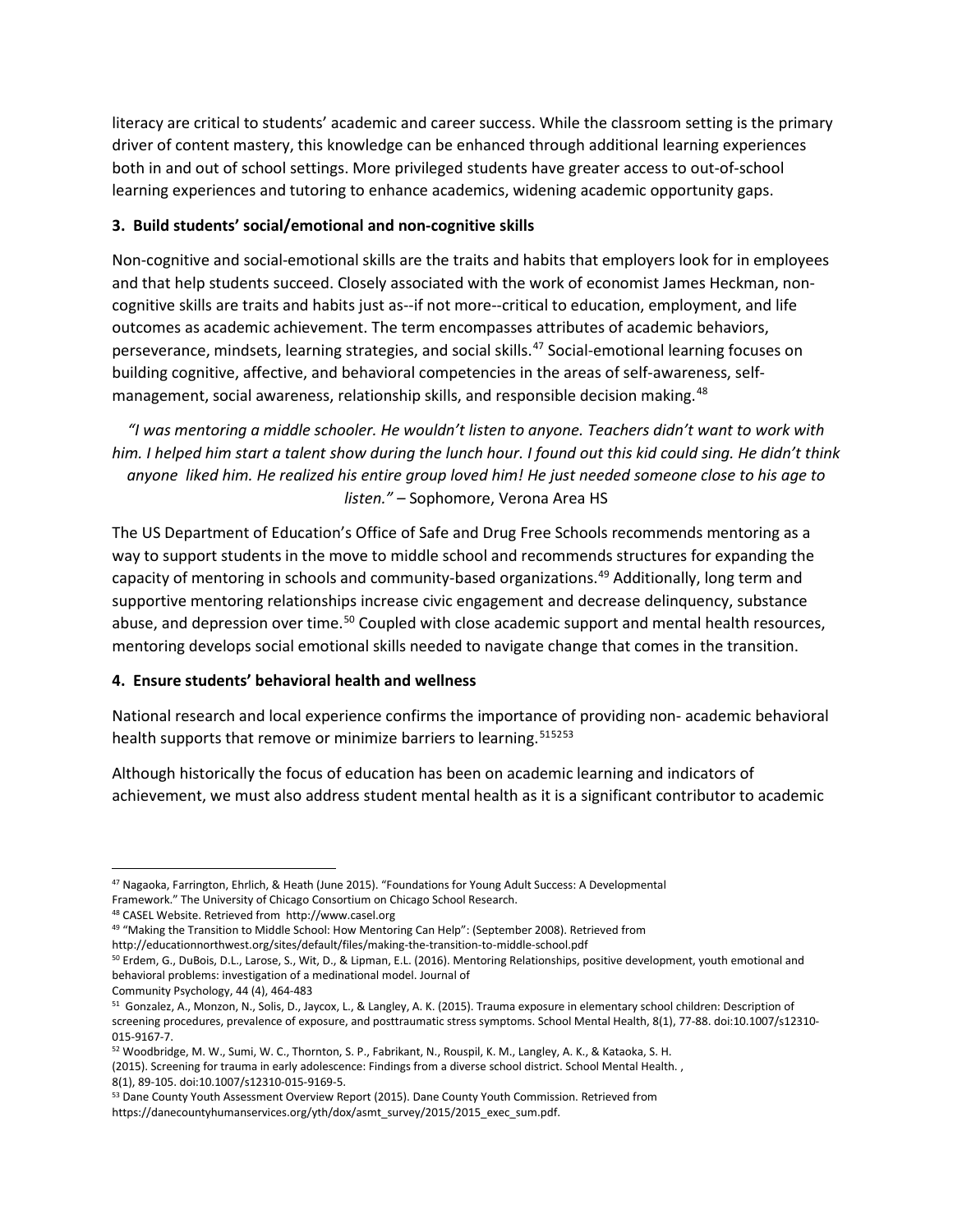literacy are critical to students' academic and career success. While the classroom setting is the primary driver of content mastery, this knowledge can be enhanced through additional learning experiences both in and out of school settings. More privileged students have greater access to out-of-school learning experiences and tutoring to enhance academics, widening academic opportunity gaps.

### **3. Build students' social/emotional and non-cognitive skills**

Non-cognitive and social-emotional skills are the traits and habits that employers look for in employees and that help students succeed. Closely associated with the work of economist James Heckman, noncognitive skills are traits and habits just as--if not more--critical to education, employment, and life outcomes as academic achievement. The term encompasses attributes of academic behaviors, perseverance, mindsets, learning strategies, and social skills.<sup>[47](#page-17-0)</sup> Social-emotional learning focuses on building cognitive, affective, and behavioral competencies in the areas of self-awareness, self-management, social awareness, relationship skills, and responsible decision making.<sup>[48](#page-17-1)</sup>

*"I was mentoring a middle schooler. He wouldn't listen to anyone. Teachers didn't want to work with him. I helped him start a talent show during the lunch hour. I found out this kid could sing. He didn't think anyone liked him. He realized his entire group loved him! He just needed someone close to his age to listen." –* Sophomore, Verona Area HS

The US Department of Education's Office of Safe and Drug Free Schools recommends mentoring as a way to support students in the move to middle school and recommends structures for expanding the capacity of mentoring in schools and community-based organizations.<sup>[49](#page-17-2)</sup> Additionally, long term and supportive mentoring relationships increase civic engagement and decrease delinquency, substance abuse, and depression over time.<sup>[50](#page-17-3)</sup> Coupled with close academic support and mental health resources, mentoring develops social emotional skills needed to navigate change that comes in the transition.

## **4. Ensure students' behavioral health and wellness**

National research and local experience confirms the importance of providing non- academic behavioral health supports that remove or minimize barriers to learning.<sup>[51](#page-17-4)[52](#page-17-5)[53](#page-17-6)</sup>

Although historically the focus of education has been on academic learning and indicators of achievement, we must also address student mental health as it is a significant contributor to academic

<span id="page-17-0"></span><sup>47</sup> Nagaoka, Farrington, Ehrlich, & Heath (June 2015). "Foundations for Young Adult Success: A Developmental

Framework." The University of Chicago Consortium on Chicago School Research.

<span id="page-17-1"></span><sup>48</sup> CASEL Website. Retrieved from http://www.casel.org

<span id="page-17-2"></span><sup>49 &</sup>quot;Making the Transition to Middle School: How Mentoring Can Help": (September 2008). Retrieved from

http://educationnorthwest.org/sites/default/files/making-the-transition-to-middle-school.pdf

<span id="page-17-3"></span><sup>50</sup> Erdem, G., DuBois, D.L., Larose, S., Wit, D., & Lipman, E.L. (2016). Mentoring Relationships, positive development, youth emotional and behavioral problems: investigation of a medinational model. Journal of

Community Psychology, 44 (4), 464-483

<span id="page-17-4"></span><sup>51</sup> Gonzalez, A., Monzon, N., Solis, D., Jaycox, L., & Langley, A. K. (2015). Trauma exposure in elementary school children: Description of screening procedures, prevalence of exposure, and posttraumatic stress symptoms. School Mental Health, 8(1), 77-88. doi:10.1007/s12310- 015-9167-7.

<span id="page-17-5"></span><sup>52</sup> Woodbridge, M. W., Sumi, W. C., Thornton, S. P., Fabrikant, N., Rouspil, K. M., Langley, A. K., & Kataoka, S. H. (2015). Screening for trauma in early adolescence: Findings from a diverse school district. School Mental Health. , 8(1), 89-105. doi:10.1007/s12310-015-9169-5.

<span id="page-17-6"></span><sup>53</sup> Dane County Youth Assessment Overview Report (2015). Dane County Youth Commission. Retrieved from https://danecountyhumanservices.org/yth/dox/asmt\_survey/2015/2015\_exec\_sum.pdf.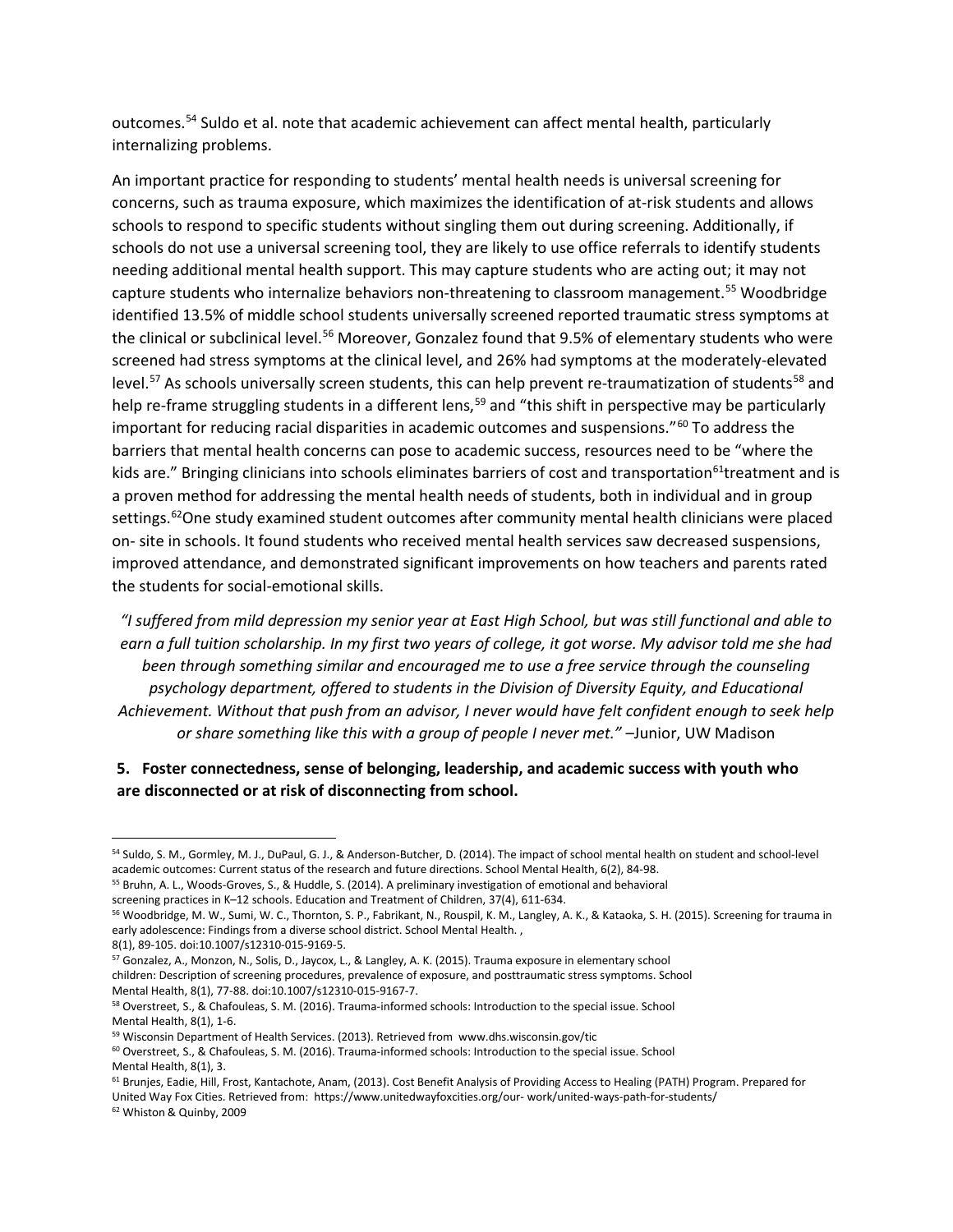outcomes.[54](#page-18-0) Suldo et al. note that academic achievement can affect mental health, particularly internalizing problems.

An important practice for responding to students' mental health needs is universal screening for concerns, such as trauma exposure, which maximizes the identification of at-risk students and allows schools to respond to specific students without singling them out during screening. Additionally, if schools do not use a universal screening tool, they are likely to use office referrals to identify students needing additional mental health support. This may capture students who are acting out; it may not capture students who internalize behaviors non-threatening to classroom management.<sup>[55](#page-18-1)</sup> Woodbridge identified 13.5% of middle school students universally screened reported traumatic stress symptoms at the clinical or subclinical level.<sup>56</sup> Moreover, Gonzalez found that 9.5% of elementary students who were screened had stress symptoms at the clinical level, and 26% had symptoms at the moderately-elevated level.<sup>[57](#page-18-3)</sup> As schools universally screen students, this can help prevent re-traumatization of students<sup>[58](#page-18-4)</sup> and help re-frame struggling students in a different lens,<sup>[59](#page-18-5)</sup> and "this shift in perspective may be particularly important for reducing racial disparities in academic outcomes and suspensions."<sup>[60](#page-18-6)</sup> To address the barriers that mental health concerns can pose to academic success, resources need to be "where the kids are." Bringing clinicians into schools eliminates barriers of cost and transportation<sup>[61](#page-18-7)</sup>treatment and is a proven method for addressing the mental health needs of students, both in individual and in group settings.<sup>[62](#page-18-8)</sup>One study examined student outcomes after community mental health clinicians were placed on- site in schools. It found students who received mental health services saw decreased suspensions, improved attendance, and demonstrated significant improvements on how teachers and parents rated the students for social-emotional skills.

*"I suffered from mild depression my senior year at East High School, but was still functional and able to earn a full tuition scholarship. In my first two years of college, it got worse. My advisor told me she had been through something similar and encouraged me to use a free service through the counseling psychology department, offered to students in the Division of Diversity Equity, and Educational Achievement. Without that push from an advisor, I never would have felt confident enough to seek help or share something like this with a group of people I never met."* –Junior, UW Madison

## **5. Foster connectedness, sense of belonging, leadership, and academic success with youth who are disconnected or at risk of disconnecting from school.**

<span id="page-18-0"></span><sup>54</sup> Suldo, S. M., Gormley, M. J., DuPaul, G. J., & Anderson-Butcher, D. (2014). The impact of school mental health on student and school-level academic outcomes: Current status of the research and future directions. School Mental Health, 6(2), 84-98.

<span id="page-18-1"></span><sup>&</sup>lt;sup>55</sup> Bruhn, A. L., Woods-Groves, S., & Huddle, S. (2014). A preliminary investigation of emotional and behavioral screening practices in K–12 schools. Education and Treatment of Children, 37(4), 611-634.

<span id="page-18-2"></span><sup>56</sup> Woodbridge, M. W., Sumi, W. C., Thornton, S. P., Fabrikant, N., Rouspil, K. M., Langley, A. K., & Kataoka, S. H. (2015). Screening for trauma in early adolescence: Findings from a diverse school district. School Mental Health.,

<sup>8(1), 89-105.</sup> doi:10.1007/s12310-015-9169-5.

<span id="page-18-3"></span><sup>57</sup> Gonzalez, A., Monzon, N., Solis, D., Jaycox, L., & Langley, A. K. (2015). Trauma exposure in elementary school children: Description of screening procedures, prevalence of exposure, and posttraumatic stress symptoms. School Mental Health, 8(1), 77-88. doi:10.1007/s12310-015-9167-7.

<span id="page-18-4"></span><sup>58</sup> Overstreet, S., & Chafouleas, S. M. (2016). Trauma-informed schools: Introduction to the special issue. School Mental Health, 8(1), 1-6.

<span id="page-18-5"></span><sup>59</sup> Wisconsin Department of Health Services. (2013). Retrieved from www.dhs.wisconsin.gov/tic

<span id="page-18-6"></span> $60$  Overstreet, S., & Chafouleas, S. M. (2016). Trauma-informed schools: Introduction to the special issue. School Mental Health, 8(1), 3.

<span id="page-18-7"></span><sup>&</sup>lt;sup>61</sup> Brunjes, Eadie, Hill, Frost, Kantachote, Anam, (2013). Cost Benefit Analysis of Providing Access to Healing (PATH) Program. Prepared for United Way Fox Cities. Retrieved from: https://www.unitedwayfoxcities.org/our- work/united-ways-path-for-students/

<span id="page-18-8"></span><sup>62</sup> Whiston & Quinby, 2009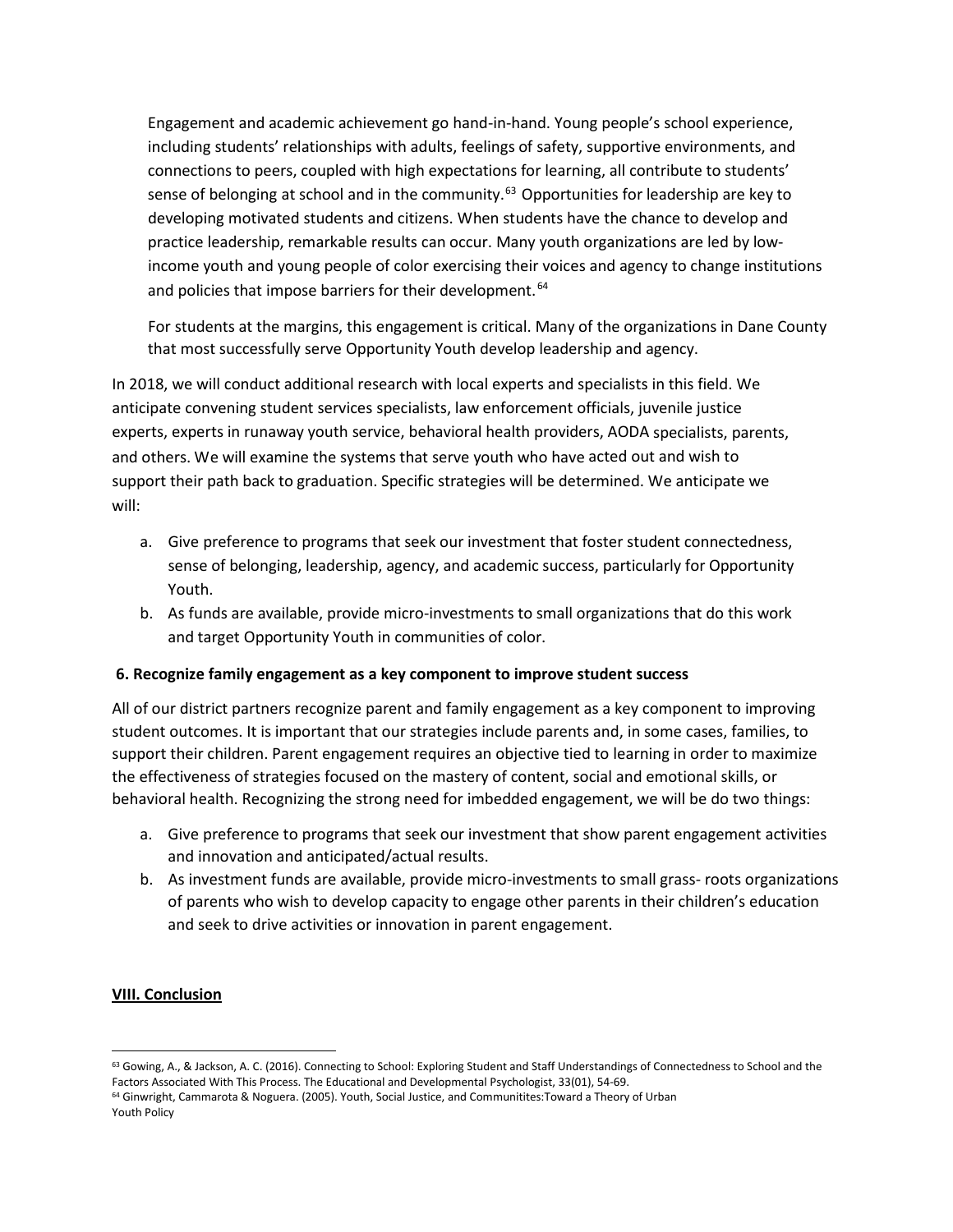Engagement and academic achievement go hand-in-hand. Young people's school experience, including students' relationships with adults, feelings of safety, supportive environments, and connections to peers, coupled with high expectations for learning, all contribute to students' sense of belonging at school and in the community.<sup>[63](#page-19-0)</sup> Opportunities for leadership are key to developing motivated students and citizens. When students have the chance to develop and practice leadership, remarkable results can occur. Many youth organizations are led by lowincome youth and young people of color exercising their voices and agency to change institutions and policies that impose barriers for their development.<sup>[64](#page-19-1)</sup>

For students at the margins, this engagement is critical. Many of the organizations in Dane County that most successfully serve Opportunity Youth develop leadership and agency.

In 2018, we will conduct additional research with local experts and specialists in this field. We anticipate convening student services specialists, law enforcement officials, juvenile justice experts, experts in runaway youth service, behavioral health providers, AODA specialists, parents, and others. We will examine the systems that serve youth who have acted out and wish to support their path back to graduation. Specific strategies will be determined. We anticipate we will:

- a. Give preference to programs that seek our investment that foster student connectedness, sense of belonging, leadership, agency, and academic success, particularly for Opportunity Youth.
- b. As funds are available, provide micro-investments to small organizations that do this work and target Opportunity Youth in communities of color.

### **6. Recognize family engagement as a key component to improve student success**

All of our district partners recognize parent and family engagement as a key component to improving student outcomes. It is important that our strategies include parents and, in some cases, families, to support their children. Parent engagement requires an objective tied to learning in order to maximize the effectiveness of strategies focused on the mastery of content, social and emotional skills, or behavioral health. Recognizing the strong need for imbedded engagement, we will be do two things:

- a. Give preference to programs that seek our investment that show parent engagement activities and innovation and anticipated/actual results.
- b. As investment funds are available, provide micro-investments to small grass- roots organizations of parents who wish to develop capacity to engage other parents in their children's education and seek to drive activities or innovation in parent engagement.

### **VIII. Conclusion**

<span id="page-19-0"></span><sup>&</sup>lt;sup>63</sup> Gowing, A., & Jackson, A. C. (2016). Connecting to School: Exploring Student and Staff Understandings of Connectedness to School and the Factors Associated With This Process. The Educational and Developmental Psychologist, 33(01), 54-69.

<span id="page-19-1"></span><sup>&</sup>lt;sup>64</sup> Ginwright, Cammarota & Noguera. (2005). Youth, Social Justice, and Communitites:Toward a Theory of Urban Youth Policy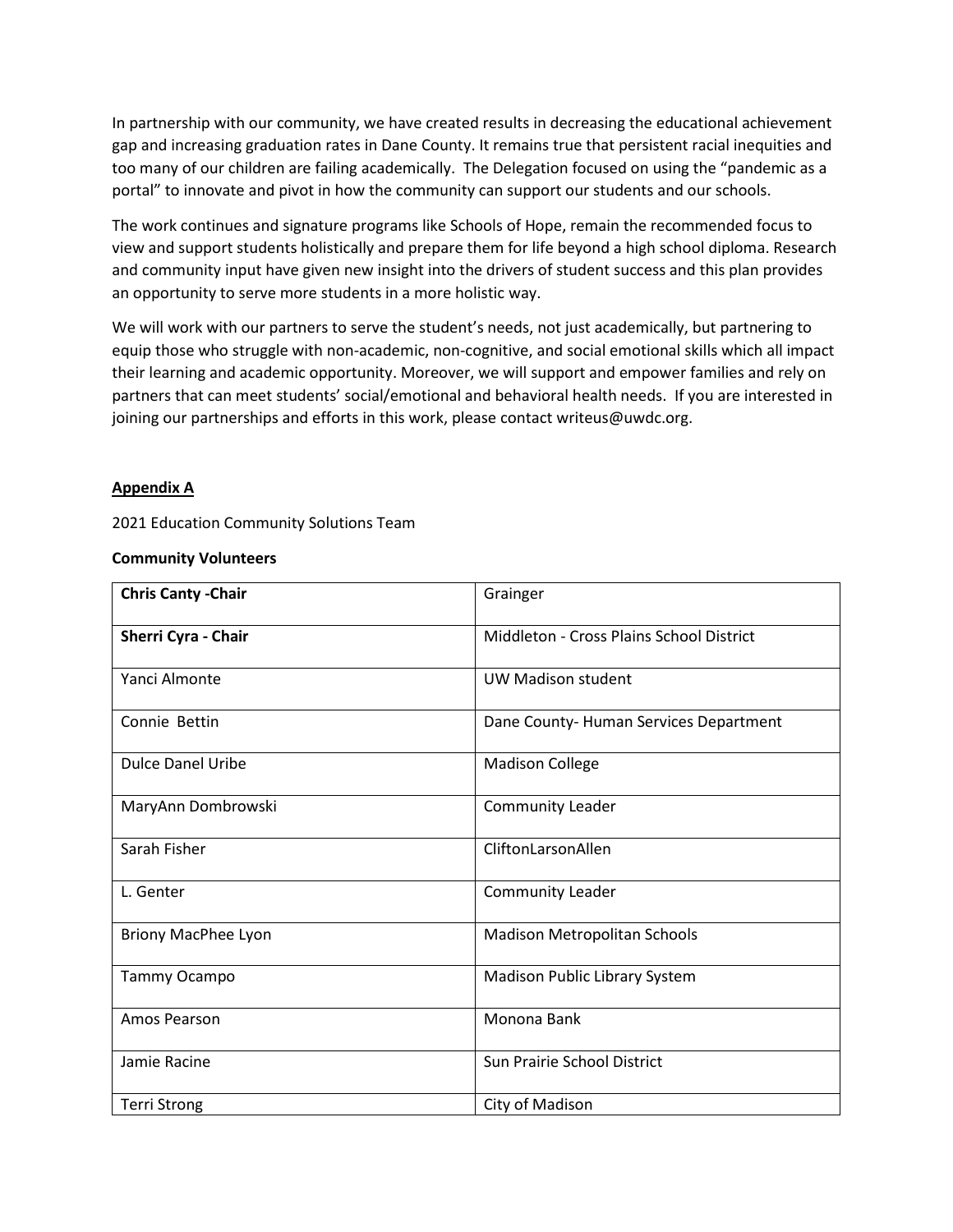In partnership with our community, we have created results in decreasing the educational achievement gap and increasing graduation rates in Dane County. It remains true that persistent racial inequities and too many of our children are failing academically. The Delegation focused on using the "pandemic as a portal" to innovate and pivot in how the community can support our students and our schools.

The work continues and signature programs like Schools of Hope, remain the recommended focus to view and support students holistically and prepare them for life beyond a high school diploma. Research and community input have given new insight into the drivers of student success and this plan provides an opportunity to serve more students in a more holistic way.

We will work with our partners to serve the student's needs, not just academically, but partnering to equip those who struggle with non-academic, non-cognitive, and social emotional skills which all impact their learning and academic opportunity. Moreover, we will support and empower families and rely on partners that can meet students' social/emotional and behavioral health needs. If you are interested in joining our partnerships and efforts in this work, please contact writeus@uwdc.org.

#### **Appendix A**

2021 Education Community Solutions Team

#### **Community Volunteers**

| <b>Chris Canty - Chair</b> | Grainger                                 |
|----------------------------|------------------------------------------|
| Sherri Cyra - Chair        | Middleton - Cross Plains School District |
| Yanci Almonte              | <b>UW Madison student</b>                |
| Connie Bettin              | Dane County-Human Services Department    |
| <b>Dulce Danel Uribe</b>   | <b>Madison College</b>                   |
| MaryAnn Dombrowski         | Community Leader                         |
| Sarah Fisher               | CliftonLarsonAllen                       |
| L. Genter                  | <b>Community Leader</b>                  |
| <b>Briony MacPhee Lyon</b> | Madison Metropolitan Schools             |
| Tammy Ocampo               | Madison Public Library System            |
| Amos Pearson               | Monona Bank                              |
| Jamie Racine               | <b>Sun Prairie School District</b>       |
| <b>Terri Strong</b>        | City of Madison                          |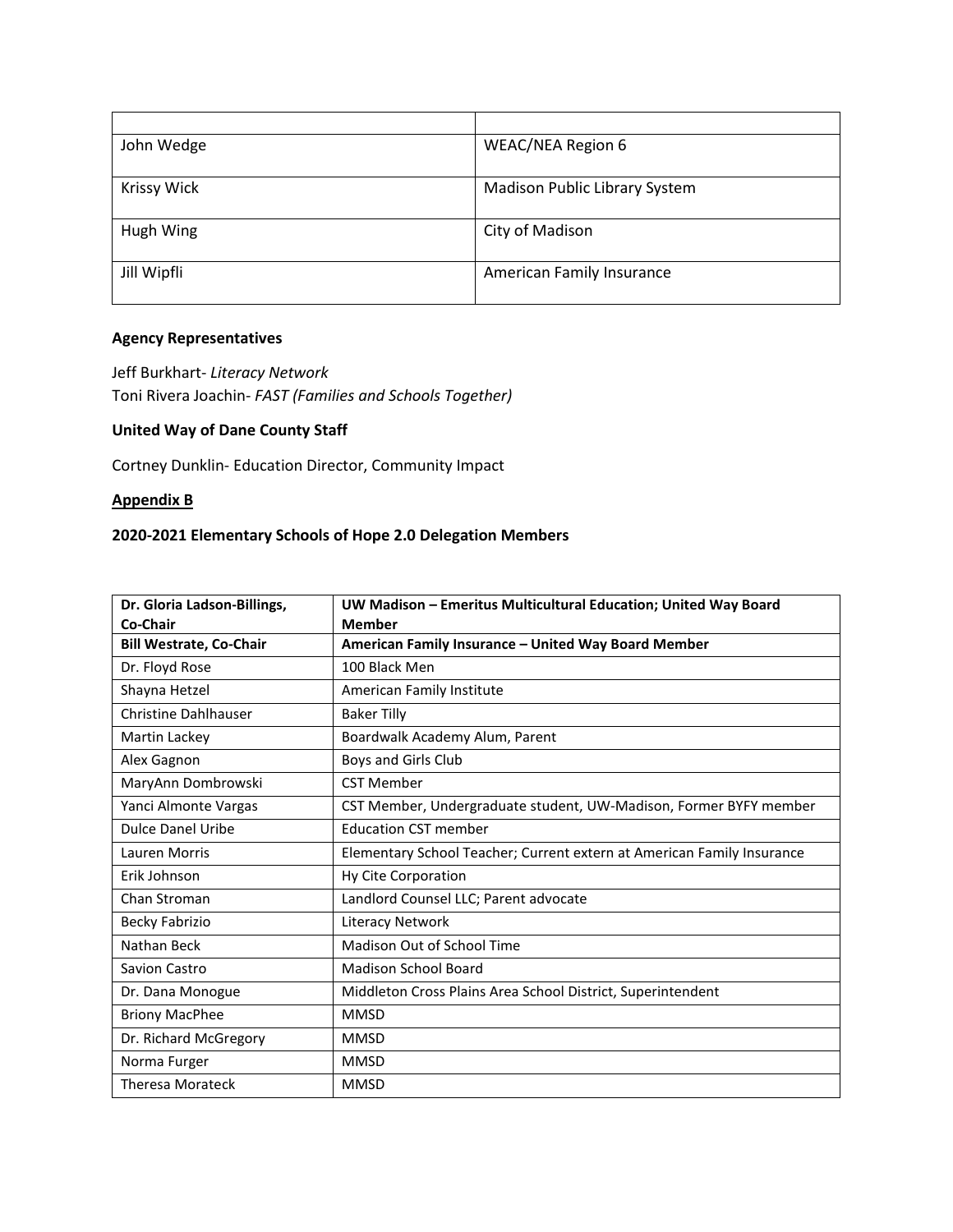| John Wedge         | <b>WEAC/NEA Region 6</b>             |
|--------------------|--------------------------------------|
|                    |                                      |
| <b>Krissy Wick</b> | <b>Madison Public Library System</b> |
| Hugh Wing          | City of Madison                      |
| Jill Wipfli        | American Family Insurance            |

### **Agency Representatives**

Jeff Burkhart- *Literacy Network* Toni Rivera Joachin- *FAST (Families and Schools Together)*

# **United Way of Dane County Staff**

Cortney Dunklin- Education Director, Community Impact

#### **Appendix B**

# **2020-2021 Elementary Schools of Hope 2.0 Delegation Members**

| Dr. Gloria Ladson-Billings,    | UW Madison - Emeritus Multicultural Education; United Way Board        |
|--------------------------------|------------------------------------------------------------------------|
| Co-Chair                       | <b>Member</b>                                                          |
| <b>Bill Westrate, Co-Chair</b> | American Family Insurance - United Way Board Member                    |
| Dr. Floyd Rose                 | 100 Black Men                                                          |
| Shayna Hetzel                  | American Family Institute                                              |
| <b>Christine Dahlhauser</b>    | <b>Baker Tilly</b>                                                     |
| Martin Lackey                  | Boardwalk Academy Alum, Parent                                         |
| Alex Gagnon                    | Boys and Girls Club                                                    |
| MaryAnn Dombrowski             | <b>CST Member</b>                                                      |
| Yanci Almonte Vargas           | CST Member, Undergraduate student, UW-Madison, Former BYFY member      |
| <b>Dulce Danel Uribe</b>       | <b>Education CST member</b>                                            |
| Lauren Morris                  | Elementary School Teacher; Current extern at American Family Insurance |
| Erik Johnson                   | Hy Cite Corporation                                                    |
| Chan Stroman                   | Landlord Counsel LLC; Parent advocate                                  |
| Becky Fabrizio                 | Literacy Network                                                       |
| Nathan Beck                    | Madison Out of School Time                                             |
| Savion Castro                  | <b>Madison School Board</b>                                            |
| Dr. Dana Monogue               | Middleton Cross Plains Area School District, Superintendent            |
| <b>Briony MacPhee</b>          | <b>MMSD</b>                                                            |
| Dr. Richard McGregory          | <b>MMSD</b>                                                            |
| Norma Furger                   | <b>MMSD</b>                                                            |
| <b>Theresa Morateck</b>        | <b>MMSD</b>                                                            |